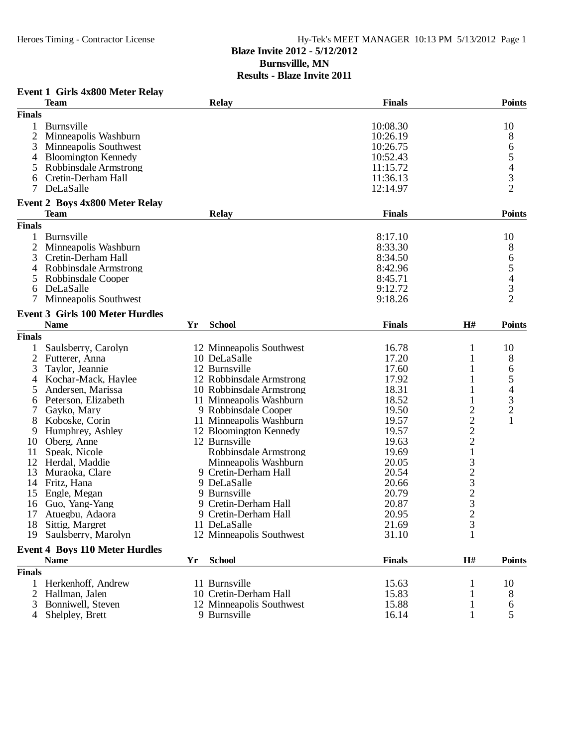# Heroes Timing - Contractor License Hy-Tek's MEET MANAGER 10:13 PM 5/13/2012 Page 1

## **Blaze Invite 2012 - 5/12/2012 Burnsvillle, MN**

## **Results - Blaze Invite 2011**

## **Event 1 Girls 4x800 Meter Relay**

|                | <b>Team</b>                            |    | <b>Relay</b>             | <b>Finals</b> |                                                 | <b>Points</b>  |
|----------------|----------------------------------------|----|--------------------------|---------------|-------------------------------------------------|----------------|
| <b>Finals</b>  |                                        |    |                          |               |                                                 |                |
| 1              | <b>Burnsville</b>                      |    |                          | 10:08.30      |                                                 | 10             |
| $\mathfrak{2}$ | Minneapolis Washburn                   |    |                          | 10:26.19      |                                                 | 8              |
| 3              | Minneapolis Southwest                  |    |                          | 10:26.75      |                                                 | 6              |
| 4              | <b>Bloomington Kennedy</b>             |    |                          | 10:52.43      |                                                 | 5              |
| 5              | Robbinsdale Armstrong                  |    |                          | 11:15.72      |                                                 |                |
| 6              | Cretin-Derham Hall                     |    |                          | 11:36.13      |                                                 | $rac{4}{3}$    |
| 7              | DeLaSalle                              |    |                          | 12:14.97      |                                                 | $\overline{2}$ |
|                |                                        |    |                          |               |                                                 |                |
|                | <b>Event 2 Boys 4x800 Meter Relay</b>  |    |                          |               |                                                 |                |
|                | <b>Team</b>                            |    | <b>Relay</b>             | <b>Finals</b> |                                                 | <b>Points</b>  |
| <b>Finals</b>  |                                        |    |                          |               |                                                 |                |
|                | Burnsville                             |    |                          | 8:17.10       |                                                 | 10             |
| 2              | Minneapolis Washburn                   |    |                          | 8:33.30       |                                                 | 8              |
| 3              | Cretin-Derham Hall                     |    |                          | 8:34.50       |                                                 | 6              |
| 4              | Robbinsdale Armstrong                  |    |                          | 8:42.96       |                                                 | 5              |
| 5              | Robbinsdale Cooper                     |    |                          | 8:45.71       |                                                 |                |
| 6              | DeLaSalle                              |    |                          | 9:12.72       |                                                 | $rac{4}{3}$    |
|                | Minneapolis Southwest                  |    |                          | 9:18.26       |                                                 | $\overline{2}$ |
|                |                                        |    |                          |               |                                                 |                |
|                | <b>Event 3 Girls 100 Meter Hurdles</b> |    |                          |               |                                                 |                |
|                | <b>Name</b>                            | Yr | <b>School</b>            | <b>Finals</b> | H#                                              | <b>Points</b>  |
| <b>Finals</b>  |                                        |    |                          |               |                                                 |                |
|                | Saulsberry, Carolyn                    |    | 12 Minneapolis Southwest | 16.78         | 1                                               | 10             |
| $\mathfrak{2}$ | Futterer, Anna                         |    | 10 DeLaSalle             | 17.20         | 1                                               | 8              |
| 3              | Taylor, Jeannie                        |    | 12 Burnsville            | 17.60         | 1                                               | 6              |
| 4              | Kochar-Mack, Haylee                    |    | 12 Robbinsdale Armstrong | 17.92         |                                                 | 5              |
|                | Andersen, Marissa                      |    | 10 Robbinsdale Armstrong | 18.31         |                                                 | 4              |
| 6              | Peterson, Elizabeth                    |    | 11 Minneapolis Washburn  | 18.52         | 1                                               | $\mathfrak 3$  |
|                | Gayko, Mary                            |    | 9 Robbinsdale Cooper     | 19.50         | $\overline{c}$                                  | $\overline{2}$ |
| 8              | Koboske, Corin                         |    | 11 Minneapolis Washburn  | 19.57         |                                                 | $\mathbf{1}$   |
| 9              | Humphrey, Ashley                       |    | 12 Bloomington Kennedy   | 19.57         | $\begin{array}{c} 2 \\ 2 \\ 2 \\ 1 \end{array}$ |                |
| 10             | Oberg, Anne                            |    | 12 Burnsville            | 19.63         |                                                 |                |
| 11             | Speak, Nicole                          |    | Robbinsdale Armstrong    | 19.69         |                                                 |                |
| 12             | Herdal, Maddie                         |    | Minneapolis Washburn     | 20.05         |                                                 |                |
| 13             | Muraoka, Clare                         |    | 9 Cretin-Derham Hall     | 20.54         |                                                 |                |
| 14             | Fritz, Hana                            |    | 9 DeLaSalle              | 20.66         | 323232                                          |                |
| 15             | Engle, Megan                           |    | 9 Burnsville             | 20.79         |                                                 |                |
| 16             | Guo, Yang-Yang                         |    | 9 Cretin-Derham Hall     | 20.87         |                                                 |                |
| 17             | Atuegbu, Adaora                        |    | 9 Cretin-Derham Hall     | 20.95         |                                                 |                |
|                | 18 Sittig, Margret                     |    | 11 DeLaSalle             | 21.69         | 3                                               |                |
| 19             | Saulsberry, Marolyn                    |    | 12 Minneapolis Southwest | 31.10         | 1                                               |                |
|                |                                        |    |                          |               |                                                 |                |
|                | <b>Event 4 Boys 110 Meter Hurdles</b>  |    |                          |               |                                                 |                |
|                | <b>Name</b>                            | Yr | <b>School</b>            | <b>Finals</b> | H#                                              | <b>Points</b>  |
| <b>Finals</b>  |                                        |    |                          |               |                                                 |                |
| $\mathbf{1}$   | Herkenhoff, Andrew                     |    | 11 Burnsville            | 15.63         | 1                                               | 10             |
| 2              | Hallman, Jalen                         |    | 10 Cretin-Derham Hall    | 15.83         | 1                                               | 8              |
| 3              | Bonniwell, Steven                      |    | 12 Minneapolis Southwest | 15.88         | 1                                               | 6              |
| 4              | Shelpley, Brett                        |    | 9 Burnsville             | 16.14         | 1                                               | 5              |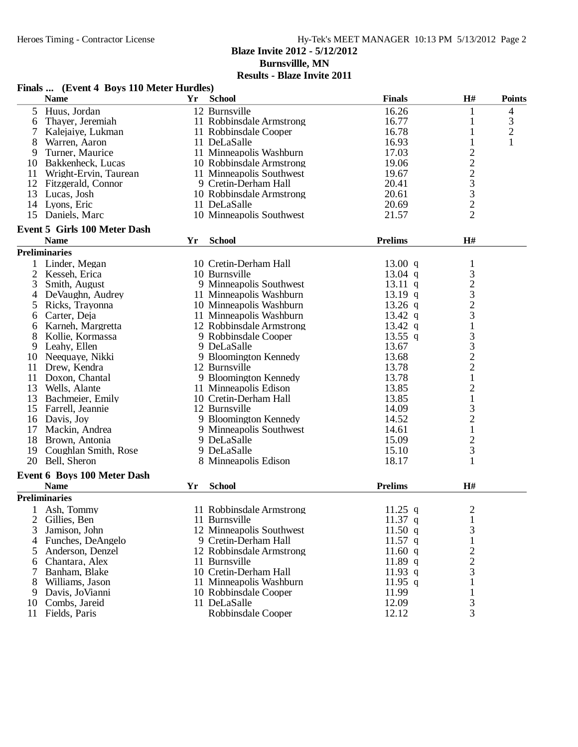**Burnsvillle, MN**

|                | Finals  (Event 4 Boys 110 Meter Hurdles) |    |                          |                   |                                                         |                |
|----------------|------------------------------------------|----|--------------------------|-------------------|---------------------------------------------------------|----------------|
|                | <b>Name</b>                              | Yr | <b>School</b>            | <b>Finals</b>     | H#                                                      | <b>Points</b>  |
| 5 <sup>1</sup> | Huus, Jordan                             |    | 12 Burnsville            | 16.26             | 1                                                       | $\overline{4}$ |
| 6              | Thayer, Jeremiah                         |    | 11 Robbinsdale Armstrong | 16.77             | 1                                                       | 3              |
|                | Kalejaiye, Lukman                        |    | 11 Robbinsdale Cooper    | 16.78             | 1                                                       | $\overline{c}$ |
| 8              | Warren, Aaron                            |    | 11 DeLaSalle             | 16.93             | $\mathbf{1}$                                            | $\mathbf{1}$   |
| 9              | Turner, Maurice                          |    | 11 Minneapolis Washburn  | 17.03             | $\overline{c}$                                          |                |
|                | 10 Bakkenheck, Lucas                     |    | 10 Robbinsdale Armstrong | 19.06             |                                                         |                |
| 11             | Wright-Ervin, Taurean                    |    | 11 Minneapolis Southwest | 19.67             | $\begin{array}{c}\n2 \\ 2 \\ 3 \\ 3 \\ 2\n\end{array}$  |                |
|                | 12 Fitzgerald, Connor                    |    | 9 Cretin-Derham Hall     | 20.41             |                                                         |                |
| 13             | Lucas, Josh                              |    | 10 Robbinsdale Armstrong | 20.61             |                                                         |                |
| 14             | Lyons, Eric                              |    | 11 DeLaSalle             | 20.69             |                                                         |                |
| 15             | Daniels, Marc                            |    | 10 Minneapolis Southwest | 21.57             | $\overline{2}$                                          |                |
|                |                                          |    |                          |                   |                                                         |                |
|                | <b>Event 5 Girls 100 Meter Dash</b>      |    |                          |                   |                                                         |                |
|                | <b>Name</b>                              | Yr | <b>School</b>            | <b>Prelims</b>    | H#                                                      |                |
|                | <b>Preliminaries</b>                     |    |                          |                   |                                                         |                |
|                | 1 Linder, Megan                          |    | 10 Cretin-Derham Hall    | 13.00 q           | 1                                                       |                |
| $\overline{2}$ | Kesseh, Erica                            |    | 10 Burnsville            | 13.04 $q$         |                                                         |                |
| 3              | Smith, August                            |    | 9 Minneapolis Southwest  | $13.11 \text{ q}$ |                                                         |                |
| 4              | DeVaughn, Audrey                         |    | 11 Minneapolis Washburn  | $13.19$ q         | $\frac{3}{2}$ $\frac{3}{2}$ $\frac{2}{3}$ $\frac{3}{1}$ |                |
| 5              | Ricks, Trayonna                          |    | 10 Minneapolis Washburn  | $13.26$ q         |                                                         |                |
| 6              | Carter, Deja                             |    | 11 Minneapolis Washburn  | 13.42 $q$         |                                                         |                |
| 6              | Karneh, Margretta                        |    | 12 Robbinsdale Armstrong | 13.42 $q$         |                                                         |                |
| 8              | Kollie, Kormassa                         |    | 9 Robbinsdale Cooper     | $13.55$ q         |                                                         |                |
| 9              | Leahy, Ellen                             |    | 9 DeLaSalle              | 13.67             | $\begin{array}{c} 3 \\ 3 \\ 2 \end{array}$              |                |
| 10             | Neequaye, Nikki                          |    | 9 Bloomington Kennedy    | 13.68             |                                                         |                |
| 11             | Drew, Kendra                             |    | 12 Burnsville            | 13.78             |                                                         |                |
| 11             | Doxon, Chantal                           |    | 9 Bloomington Kennedy    | 13.78             | $\,1\,$                                                 |                |
| 13             | Wells, Alante                            |    | 11 Minneapolis Edison    | 13.85             |                                                         |                |
| 13             | Bachmeier, Emily                         |    | 10 Cretin-Derham Hall    | 13.85             | $\frac{2}{1}$                                           |                |
| 15             | Farrell, Jeannie                         |    | 12 Burnsville            | 14.09             |                                                         |                |
| 16             | Davis, Joy                               |    | 9 Bloomington Kennedy    | 14.52             | $\frac{3}{2}$                                           |                |
| 17             | Mackin, Andrea                           |    | 9 Minneapolis Southwest  | 14.61             | $\,1\,$                                                 |                |
| 18             | Brown, Antonia                           |    | 9 DeLaSalle              | 15.09             |                                                         |                |
| 19             | Coughlan Smith, Rose                     |    | 9 DeLaSalle              | 15.10             | $\frac{2}{3}$                                           |                |
| 20             | Bell, Sheron                             |    | 8 Minneapolis Edison     | 18.17             | $\mathbf{1}$                                            |                |
|                | Event 6 Boys 100 Meter Dash              |    |                          |                   |                                                         |                |
|                | <b>Name</b>                              | Yr | <b>School</b>            | <b>Prelims</b>    | H#                                                      |                |
|                | <b>Preliminaries</b>                     |    |                          |                   |                                                         |                |
|                |                                          |    |                          |                   |                                                         |                |
|                | Ash, Tommy                               |    | 11 Robbinsdale Armstrong | 11.25 $q$         | $\overline{c}$                                          |                |
| 2              | Gillies, Ben                             |    | 11 Burnsville            | $11.37$ q         | $\mathbf 1$                                             |                |
| 3              | Jamison, John                            |    | 12 Minneapolis Southwest | 11.50 $q$         | 3                                                       |                |
| 4              | Funches, DeAngelo                        |    | 9 Cretin-Derham Hall     | $11.57$ q         | $\mathbf{1}$                                            |                |
| 5              | Anderson, Denzel                         |    | 12 Robbinsdale Armstrong | 11.60 $q$         | $\overline{c}$                                          |                |
| 6              | Chantara, Alex                           |    | 11 Burnsville            | $11.89$ q         | $\overline{c}$                                          |                |
| 7              | Banham, Blake                            |    | 10 Cretin-Derham Hall    | 11.93 q           | 3                                                       |                |
| 8              | Williams, Jason                          |    | 11 Minneapolis Washburn  | 11.95 $q$         | $\mathbf{1}$                                            |                |
| 9              | Davis, JoVianni                          |    | 10 Robbinsdale Cooper    | 11.99             | $\mathbf{1}$                                            |                |
| 10             | Combs, Jareid                            |    | 11 DeLaSalle             | 12.09             | 3                                                       |                |
| 11             | Fields, Paris                            |    | Robbinsdale Cooper       | 12.12             | 3                                                       |                |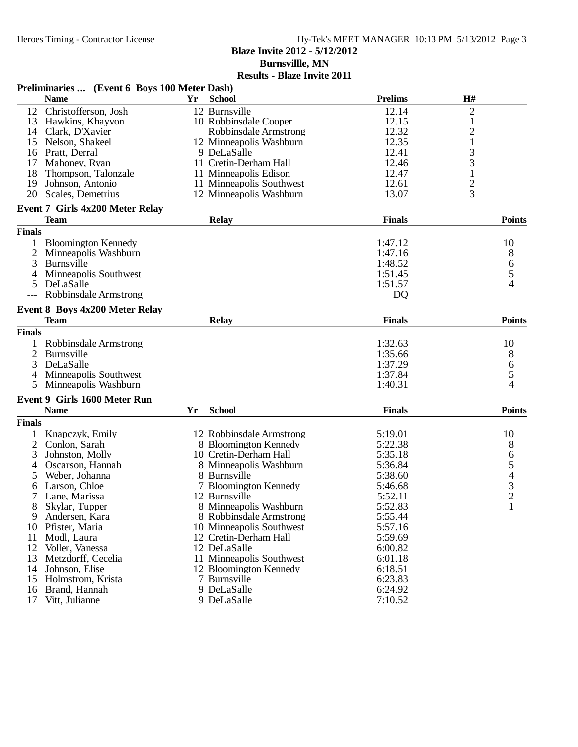**Burnsvillle, MN**

|                | Preliminaries  (Event 6 Boys 100 Meter Dash) |     |                          |                |                                       |
|----------------|----------------------------------------------|-----|--------------------------|----------------|---------------------------------------|
|                | <b>Name</b>                                  | Yr. | <b>School</b>            | <b>Prelims</b> | H#                                    |
| 12             | Christofferson, Josh                         |     | 12 Burnsville            | 12.14          | $\overline{2}$                        |
| 13             | Hawkins, Khayvon                             |     | 10 Robbinsdale Cooper    | 12.15          | 1                                     |
| 14             | Clark, D'Xavier                              |     | Robbinsdale Armstrong    | 12.32          | $\overline{c}$                        |
| 15             | Nelson, Shakeel                              |     | 12 Minneapolis Washburn  | 12.35          | $\mathbf{1}$                          |
| 16             | Pratt, Derral                                |     | 9 DeLaSalle              | 12.41          | 3                                     |
| 17             | Mahoney, Ryan                                |     | 11 Cretin-Derham Hall    | 12.46          | 3                                     |
| 18             | Thompson, Talonzale                          |     | 11 Minneapolis Edison    | 12.47          | $\mathbf{1}$                          |
| 19             | Johnson, Antonio                             |     | 11 Minneapolis Southwest | 12.61          | $\overline{c}$                        |
| 20             | Scales, Demetrius                            |     | 12 Minneapolis Washburn  | 13.07          | 3                                     |
|                | <b>Event 7 Girls 4x200 Meter Relay</b>       |     |                          |                |                                       |
|                | <b>Team</b>                                  |     | <b>Relay</b>             | <b>Finals</b>  | <b>Points</b>                         |
| <b>Finals</b>  |                                              |     |                          |                |                                       |
|                | <b>Bloomington Kennedy</b>                   |     |                          | 1:47.12        | 10                                    |
| 2              | Minneapolis Washburn                         |     |                          | 1:47.16        | 8                                     |
| 3              | Burnsville                                   |     |                          | 1:48.52        | $\begin{array}{c} 6 \\ 5 \end{array}$ |
|                | Minneapolis Southwest                        |     |                          | 1:51.45        |                                       |
| 5              | DeLaSalle                                    |     |                          | 1:51.57        | 4                                     |
|                | Robbinsdale Armstrong                        |     |                          | <b>DQ</b>      |                                       |
|                | <b>Event 8 Boys 4x200 Meter Relay</b>        |     |                          |                |                                       |
|                | <b>Team</b>                                  |     | <b>Relay</b>             | <b>Finals</b>  | <b>Points</b>                         |
| <b>Finals</b>  |                                              |     |                          |                |                                       |
|                | Robbinsdale Armstrong                        |     |                          | 1:32.63        | 10                                    |
| $\overline{2}$ | Burnsville                                   |     |                          | 1:35.66        | 8                                     |
| 3              | DeLaSalle                                    |     |                          | 1:37.29        | 6                                     |
| 4              | Minneapolis Southwest                        |     |                          | 1:37.84        | 5                                     |
| 5              | Minneapolis Washburn                         |     |                          | 1:40.31        | 4                                     |
|                | <b>Event 9 Girls 1600 Meter Run</b>          |     |                          |                |                                       |
|                | <b>Name</b>                                  | Yr  | <b>School</b>            | <b>Finals</b>  | <b>Points</b>                         |
| <b>Finals</b>  |                                              |     |                          |                |                                       |
|                | Knapczyk, Emily                              |     | 12 Robbinsdale Armstrong | 5:19.01        | 10                                    |
| $\overline{2}$ | Conlon, Sarah                                |     | 8 Bloomington Kennedy    | 5:22.38        | 8                                     |
| 3              | Johnston, Molly                              |     | 10 Cretin-Derham Hall    | 5:35.18        |                                       |
| 4              | Oscarson, Hannah                             |     | 8 Minneapolis Washburn   | 5:36.84        |                                       |
| 5              | Weber, Johanna                               |     | 8 Burnsville             | 5:38.60        | 65432                                 |
| 6              | Larson, Chloe                                |     | 7 Bloomington Kennedy    | 5:46.68        |                                       |
| 7              | Lane, Marissa                                |     | 12 Burnsville            | 5:52.11        |                                       |
| 8              | Skylar, Tupper                               |     | 8 Minneapolis Washburn   | 5:52.83        | 1                                     |
| 9              | Andersen, Kara                               |     | 8 Robbinsdale Armstrong  | 5:55.44        |                                       |
| 10             | Pfister, Maria                               |     | 10 Minneapolis Southwest | 5:57.16        |                                       |
| 11             | Modl, Laura                                  |     | 12 Cretin-Derham Hall    | 5:59.69        |                                       |
| 12             | Voller, Vanessa                              |     | 12 DeLaSalle             | 6:00.82        |                                       |
| 13             | Metzdorff, Cecelia                           |     | 11 Minneapolis Southwest | 6:01.18        |                                       |
| 14             | Johnson, Elise                               |     | 12 Bloomington Kennedy   | 6:18.51        |                                       |
|                | Holmstrom, Krista                            |     | 7 Burnsville             | 6:23.83        |                                       |
| 15             | Brand, Hannah                                |     |                          |                |                                       |
| 16             |                                              |     | 9 DeLaSalle              | 6:24.92        |                                       |
| 17             | Vitt, Julianne                               |     | 9 DeLaSalle              | 7:10.52        |                                       |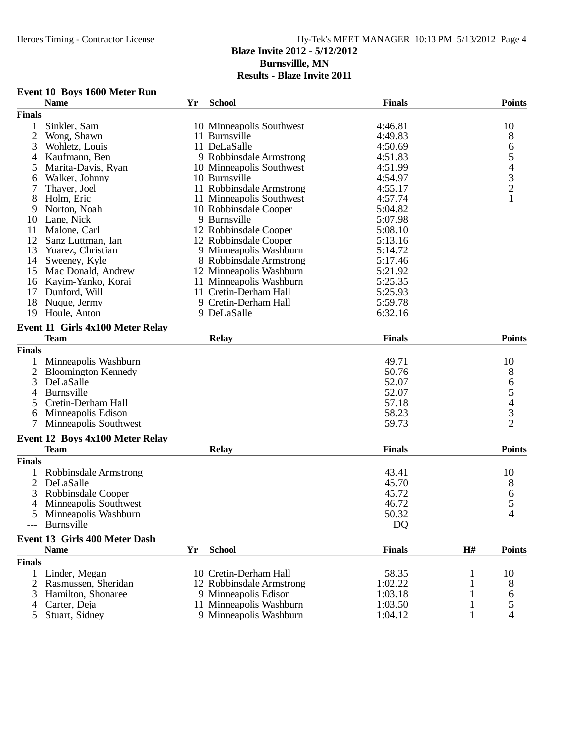| <b>Event 10 Boys 1600 Meter Run</b> |  |  |  |  |
|-------------------------------------|--|--|--|--|
|-------------------------------------|--|--|--|--|

| <b>Finals</b><br>Sinkler, Sam<br>4:46.81<br>10<br>10 Minneapolis Southwest<br>1<br>$\mathfrak{2}$<br>8<br>Wong, Shawn<br>11 Burnsville<br>4:49.83<br>6<br>3<br>11 DeLaSalle<br>4:50.69<br>Wohletz, Louis<br>5<br>9 Robbinsdale Armstrong<br>Kaufmann, Ben<br>4:51.83<br>4<br>$\begin{array}{c} 4 \\ 3 \\ 2 \end{array}$<br>Marita-Davis, Ryan<br>10 Minneapolis Southwest<br>4:51.99<br>5<br>10 Burnsville<br>Walker, Johnny<br>4:54.97<br>6<br>11 Robbinsdale Armstrong<br>4:55.17<br>7<br>Thayer, Joel<br>$\mathbf{1}$<br>11 Minneapolis Southwest<br>4:57.74<br>8<br>Holm, Eric<br>Norton, Noah<br>10 Robbinsdale Cooper<br>5:04.82<br>9<br>Lane, Nick<br>9 Burnsville<br>5:07.98<br>10<br>12 Robbinsdale Cooper<br>11<br>Malone, Carl<br>5:08.10<br>12<br>12 Robbinsdale Cooper<br>5:13.16<br>Sanz Luttman, Ian<br>13<br>5:14.72<br>Yuarez, Christian<br>9 Minneapolis Washburn<br>14<br>Sweeney, Kyle<br>8 Robbinsdale Armstrong<br>5:17.46<br>Mac Donald, Andrew<br>12 Minneapolis Washburn<br>5:21.92<br>15<br>11 Minneapolis Washburn<br>Kayim-Yanko, Korai<br>5:25.35<br>16<br>17<br>5:25.93<br>Dunford, Will<br>11 Cretin-Derham Hall<br>18<br>9 Cretin-Derham Hall<br>Nuque, Jermy<br>5:59.78<br>19<br>9 DeLaSalle<br>6:32.16<br>Houle, Anton<br>Event 11 Girls 4x100 Meter Relay<br><b>Finals</b><br><b>Points</b><br><b>Team</b><br><b>Relay</b><br><b>Finals</b><br>Minneapolis Washburn<br>49.71<br>10<br>50.76<br>8<br>2<br><b>Bloomington Kennedy</b><br>6<br>3<br>DeLaSalle<br>52.07<br>$\begin{array}{c} 5 \\ 4 \\ 3 \end{array}$<br>52.07<br>Burnsville<br>4<br>Cretin-Derham Hall<br>57.18<br>5<br>58.23<br>Minneapolis Edison<br>6<br>$\overline{2}$<br>Minneapolis Southwest<br>59.73<br>Event 12 Boys 4x100 Meter Relay<br><b>Finals</b><br><b>Points</b><br><b>Team</b><br><b>Relay</b><br><b>Finals</b><br>10<br>Robbinsdale Armstrong<br>43.41<br>$\overline{2}$<br>45.70<br>8<br>DeLaSalle<br>3<br>Robbinsdale Cooper<br>45.72<br>6<br>5<br>46.72<br>Minneapolis Southwest<br>4<br>4<br>5<br>Minneapolis Washburn<br>50.32<br>DQ<br>Burnsville<br>Event 13 Girls 400 Meter Dash<br><b>School</b><br><b>Finals</b><br>H#<br><b>Name</b><br>Yr<br><b>Points</b><br><b>Finals</b><br>58.35<br>Linder, Megan<br>10 Cretin-Derham Hall<br>10<br>1<br>$\overline{2}$<br>Rasmussen, Sheridan<br>1:02.22<br>12 Robbinsdale Armstrong<br>8<br>Hamilton, Shonaree<br>9 Minneapolis Edison<br>1:03.18<br>3<br>6<br>11 Minneapolis Washburn<br>5<br>Carter, Deja<br>1:03.50<br>4<br>Stuart, Sidney<br>9 Minneapolis Washburn<br>1:04.12<br>4<br>5 | <b>Name</b> | Yr | <b>School</b> | <b>Finals</b> | <b>Points</b> |
|-------------------------------------------------------------------------------------------------------------------------------------------------------------------------------------------------------------------------------------------------------------------------------------------------------------------------------------------------------------------------------------------------------------------------------------------------------------------------------------------------------------------------------------------------------------------------------------------------------------------------------------------------------------------------------------------------------------------------------------------------------------------------------------------------------------------------------------------------------------------------------------------------------------------------------------------------------------------------------------------------------------------------------------------------------------------------------------------------------------------------------------------------------------------------------------------------------------------------------------------------------------------------------------------------------------------------------------------------------------------------------------------------------------------------------------------------------------------------------------------------------------------------------------------------------------------------------------------------------------------------------------------------------------------------------------------------------------------------------------------------------------------------------------------------------------------------------------------------------------------------------------------------------------------------------------------------------------------------------------------------------------------------------------------------------------------------------------------------------------------------------------------------------------------------------------------------------------------------------------------------------------------------------------------------------------------------------------------------------------------------------------------------------------------------------------------------------------------------------------------------------------------------------------------------------------------|-------------|----|---------------|---------------|---------------|
|                                                                                                                                                                                                                                                                                                                                                                                                                                                                                                                                                                                                                                                                                                                                                                                                                                                                                                                                                                                                                                                                                                                                                                                                                                                                                                                                                                                                                                                                                                                                                                                                                                                                                                                                                                                                                                                                                                                                                                                                                                                                                                                                                                                                                                                                                                                                                                                                                                                                                                                                                                   |             |    |               |               |               |
|                                                                                                                                                                                                                                                                                                                                                                                                                                                                                                                                                                                                                                                                                                                                                                                                                                                                                                                                                                                                                                                                                                                                                                                                                                                                                                                                                                                                                                                                                                                                                                                                                                                                                                                                                                                                                                                                                                                                                                                                                                                                                                                                                                                                                                                                                                                                                                                                                                                                                                                                                                   |             |    |               |               |               |
|                                                                                                                                                                                                                                                                                                                                                                                                                                                                                                                                                                                                                                                                                                                                                                                                                                                                                                                                                                                                                                                                                                                                                                                                                                                                                                                                                                                                                                                                                                                                                                                                                                                                                                                                                                                                                                                                                                                                                                                                                                                                                                                                                                                                                                                                                                                                                                                                                                                                                                                                                                   |             |    |               |               |               |
|                                                                                                                                                                                                                                                                                                                                                                                                                                                                                                                                                                                                                                                                                                                                                                                                                                                                                                                                                                                                                                                                                                                                                                                                                                                                                                                                                                                                                                                                                                                                                                                                                                                                                                                                                                                                                                                                                                                                                                                                                                                                                                                                                                                                                                                                                                                                                                                                                                                                                                                                                                   |             |    |               |               |               |
|                                                                                                                                                                                                                                                                                                                                                                                                                                                                                                                                                                                                                                                                                                                                                                                                                                                                                                                                                                                                                                                                                                                                                                                                                                                                                                                                                                                                                                                                                                                                                                                                                                                                                                                                                                                                                                                                                                                                                                                                                                                                                                                                                                                                                                                                                                                                                                                                                                                                                                                                                                   |             |    |               |               |               |
|                                                                                                                                                                                                                                                                                                                                                                                                                                                                                                                                                                                                                                                                                                                                                                                                                                                                                                                                                                                                                                                                                                                                                                                                                                                                                                                                                                                                                                                                                                                                                                                                                                                                                                                                                                                                                                                                                                                                                                                                                                                                                                                                                                                                                                                                                                                                                                                                                                                                                                                                                                   |             |    |               |               |               |
|                                                                                                                                                                                                                                                                                                                                                                                                                                                                                                                                                                                                                                                                                                                                                                                                                                                                                                                                                                                                                                                                                                                                                                                                                                                                                                                                                                                                                                                                                                                                                                                                                                                                                                                                                                                                                                                                                                                                                                                                                                                                                                                                                                                                                                                                                                                                                                                                                                                                                                                                                                   |             |    |               |               |               |
|                                                                                                                                                                                                                                                                                                                                                                                                                                                                                                                                                                                                                                                                                                                                                                                                                                                                                                                                                                                                                                                                                                                                                                                                                                                                                                                                                                                                                                                                                                                                                                                                                                                                                                                                                                                                                                                                                                                                                                                                                                                                                                                                                                                                                                                                                                                                                                                                                                                                                                                                                                   |             |    |               |               |               |
|                                                                                                                                                                                                                                                                                                                                                                                                                                                                                                                                                                                                                                                                                                                                                                                                                                                                                                                                                                                                                                                                                                                                                                                                                                                                                                                                                                                                                                                                                                                                                                                                                                                                                                                                                                                                                                                                                                                                                                                                                                                                                                                                                                                                                                                                                                                                                                                                                                                                                                                                                                   |             |    |               |               |               |
|                                                                                                                                                                                                                                                                                                                                                                                                                                                                                                                                                                                                                                                                                                                                                                                                                                                                                                                                                                                                                                                                                                                                                                                                                                                                                                                                                                                                                                                                                                                                                                                                                                                                                                                                                                                                                                                                                                                                                                                                                                                                                                                                                                                                                                                                                                                                                                                                                                                                                                                                                                   |             |    |               |               |               |
|                                                                                                                                                                                                                                                                                                                                                                                                                                                                                                                                                                                                                                                                                                                                                                                                                                                                                                                                                                                                                                                                                                                                                                                                                                                                                                                                                                                                                                                                                                                                                                                                                                                                                                                                                                                                                                                                                                                                                                                                                                                                                                                                                                                                                                                                                                                                                                                                                                                                                                                                                                   |             |    |               |               |               |
|                                                                                                                                                                                                                                                                                                                                                                                                                                                                                                                                                                                                                                                                                                                                                                                                                                                                                                                                                                                                                                                                                                                                                                                                                                                                                                                                                                                                                                                                                                                                                                                                                                                                                                                                                                                                                                                                                                                                                                                                                                                                                                                                                                                                                                                                                                                                                                                                                                                                                                                                                                   |             |    |               |               |               |
|                                                                                                                                                                                                                                                                                                                                                                                                                                                                                                                                                                                                                                                                                                                                                                                                                                                                                                                                                                                                                                                                                                                                                                                                                                                                                                                                                                                                                                                                                                                                                                                                                                                                                                                                                                                                                                                                                                                                                                                                                                                                                                                                                                                                                                                                                                                                                                                                                                                                                                                                                                   |             |    |               |               |               |
|                                                                                                                                                                                                                                                                                                                                                                                                                                                                                                                                                                                                                                                                                                                                                                                                                                                                                                                                                                                                                                                                                                                                                                                                                                                                                                                                                                                                                                                                                                                                                                                                                                                                                                                                                                                                                                                                                                                                                                                                                                                                                                                                                                                                                                                                                                                                                                                                                                                                                                                                                                   |             |    |               |               |               |
|                                                                                                                                                                                                                                                                                                                                                                                                                                                                                                                                                                                                                                                                                                                                                                                                                                                                                                                                                                                                                                                                                                                                                                                                                                                                                                                                                                                                                                                                                                                                                                                                                                                                                                                                                                                                                                                                                                                                                                                                                                                                                                                                                                                                                                                                                                                                                                                                                                                                                                                                                                   |             |    |               |               |               |
|                                                                                                                                                                                                                                                                                                                                                                                                                                                                                                                                                                                                                                                                                                                                                                                                                                                                                                                                                                                                                                                                                                                                                                                                                                                                                                                                                                                                                                                                                                                                                                                                                                                                                                                                                                                                                                                                                                                                                                                                                                                                                                                                                                                                                                                                                                                                                                                                                                                                                                                                                                   |             |    |               |               |               |
|                                                                                                                                                                                                                                                                                                                                                                                                                                                                                                                                                                                                                                                                                                                                                                                                                                                                                                                                                                                                                                                                                                                                                                                                                                                                                                                                                                                                                                                                                                                                                                                                                                                                                                                                                                                                                                                                                                                                                                                                                                                                                                                                                                                                                                                                                                                                                                                                                                                                                                                                                                   |             |    |               |               |               |
|                                                                                                                                                                                                                                                                                                                                                                                                                                                                                                                                                                                                                                                                                                                                                                                                                                                                                                                                                                                                                                                                                                                                                                                                                                                                                                                                                                                                                                                                                                                                                                                                                                                                                                                                                                                                                                                                                                                                                                                                                                                                                                                                                                                                                                                                                                                                                                                                                                                                                                                                                                   |             |    |               |               |               |
|                                                                                                                                                                                                                                                                                                                                                                                                                                                                                                                                                                                                                                                                                                                                                                                                                                                                                                                                                                                                                                                                                                                                                                                                                                                                                                                                                                                                                                                                                                                                                                                                                                                                                                                                                                                                                                                                                                                                                                                                                                                                                                                                                                                                                                                                                                                                                                                                                                                                                                                                                                   |             |    |               |               |               |
|                                                                                                                                                                                                                                                                                                                                                                                                                                                                                                                                                                                                                                                                                                                                                                                                                                                                                                                                                                                                                                                                                                                                                                                                                                                                                                                                                                                                                                                                                                                                                                                                                                                                                                                                                                                                                                                                                                                                                                                                                                                                                                                                                                                                                                                                                                                                                                                                                                                                                                                                                                   |             |    |               |               |               |
|                                                                                                                                                                                                                                                                                                                                                                                                                                                                                                                                                                                                                                                                                                                                                                                                                                                                                                                                                                                                                                                                                                                                                                                                                                                                                                                                                                                                                                                                                                                                                                                                                                                                                                                                                                                                                                                                                                                                                                                                                                                                                                                                                                                                                                                                                                                                                                                                                                                                                                                                                                   |             |    |               |               |               |
|                                                                                                                                                                                                                                                                                                                                                                                                                                                                                                                                                                                                                                                                                                                                                                                                                                                                                                                                                                                                                                                                                                                                                                                                                                                                                                                                                                                                                                                                                                                                                                                                                                                                                                                                                                                                                                                                                                                                                                                                                                                                                                                                                                                                                                                                                                                                                                                                                                                                                                                                                                   |             |    |               |               |               |
|                                                                                                                                                                                                                                                                                                                                                                                                                                                                                                                                                                                                                                                                                                                                                                                                                                                                                                                                                                                                                                                                                                                                                                                                                                                                                                                                                                                                                                                                                                                                                                                                                                                                                                                                                                                                                                                                                                                                                                                                                                                                                                                                                                                                                                                                                                                                                                                                                                                                                                                                                                   |             |    |               |               |               |
|                                                                                                                                                                                                                                                                                                                                                                                                                                                                                                                                                                                                                                                                                                                                                                                                                                                                                                                                                                                                                                                                                                                                                                                                                                                                                                                                                                                                                                                                                                                                                                                                                                                                                                                                                                                                                                                                                                                                                                                                                                                                                                                                                                                                                                                                                                                                                                                                                                                                                                                                                                   |             |    |               |               |               |
|                                                                                                                                                                                                                                                                                                                                                                                                                                                                                                                                                                                                                                                                                                                                                                                                                                                                                                                                                                                                                                                                                                                                                                                                                                                                                                                                                                                                                                                                                                                                                                                                                                                                                                                                                                                                                                                                                                                                                                                                                                                                                                                                                                                                                                                                                                                                                                                                                                                                                                                                                                   |             |    |               |               |               |
|                                                                                                                                                                                                                                                                                                                                                                                                                                                                                                                                                                                                                                                                                                                                                                                                                                                                                                                                                                                                                                                                                                                                                                                                                                                                                                                                                                                                                                                                                                                                                                                                                                                                                                                                                                                                                                                                                                                                                                                                                                                                                                                                                                                                                                                                                                                                                                                                                                                                                                                                                                   |             |    |               |               |               |
|                                                                                                                                                                                                                                                                                                                                                                                                                                                                                                                                                                                                                                                                                                                                                                                                                                                                                                                                                                                                                                                                                                                                                                                                                                                                                                                                                                                                                                                                                                                                                                                                                                                                                                                                                                                                                                                                                                                                                                                                                                                                                                                                                                                                                                                                                                                                                                                                                                                                                                                                                                   |             |    |               |               |               |
|                                                                                                                                                                                                                                                                                                                                                                                                                                                                                                                                                                                                                                                                                                                                                                                                                                                                                                                                                                                                                                                                                                                                                                                                                                                                                                                                                                                                                                                                                                                                                                                                                                                                                                                                                                                                                                                                                                                                                                                                                                                                                                                                                                                                                                                                                                                                                                                                                                                                                                                                                                   |             |    |               |               |               |
|                                                                                                                                                                                                                                                                                                                                                                                                                                                                                                                                                                                                                                                                                                                                                                                                                                                                                                                                                                                                                                                                                                                                                                                                                                                                                                                                                                                                                                                                                                                                                                                                                                                                                                                                                                                                                                                                                                                                                                                                                                                                                                                                                                                                                                                                                                                                                                                                                                                                                                                                                                   |             |    |               |               |               |
|                                                                                                                                                                                                                                                                                                                                                                                                                                                                                                                                                                                                                                                                                                                                                                                                                                                                                                                                                                                                                                                                                                                                                                                                                                                                                                                                                                                                                                                                                                                                                                                                                                                                                                                                                                                                                                                                                                                                                                                                                                                                                                                                                                                                                                                                                                                                                                                                                                                                                                                                                                   |             |    |               |               |               |
|                                                                                                                                                                                                                                                                                                                                                                                                                                                                                                                                                                                                                                                                                                                                                                                                                                                                                                                                                                                                                                                                                                                                                                                                                                                                                                                                                                                                                                                                                                                                                                                                                                                                                                                                                                                                                                                                                                                                                                                                                                                                                                                                                                                                                                                                                                                                                                                                                                                                                                                                                                   |             |    |               |               |               |
|                                                                                                                                                                                                                                                                                                                                                                                                                                                                                                                                                                                                                                                                                                                                                                                                                                                                                                                                                                                                                                                                                                                                                                                                                                                                                                                                                                                                                                                                                                                                                                                                                                                                                                                                                                                                                                                                                                                                                                                                                                                                                                                                                                                                                                                                                                                                                                                                                                                                                                                                                                   |             |    |               |               |               |
|                                                                                                                                                                                                                                                                                                                                                                                                                                                                                                                                                                                                                                                                                                                                                                                                                                                                                                                                                                                                                                                                                                                                                                                                                                                                                                                                                                                                                                                                                                                                                                                                                                                                                                                                                                                                                                                                                                                                                                                                                                                                                                                                                                                                                                                                                                                                                                                                                                                                                                                                                                   |             |    |               |               |               |
|                                                                                                                                                                                                                                                                                                                                                                                                                                                                                                                                                                                                                                                                                                                                                                                                                                                                                                                                                                                                                                                                                                                                                                                                                                                                                                                                                                                                                                                                                                                                                                                                                                                                                                                                                                                                                                                                                                                                                                                                                                                                                                                                                                                                                                                                                                                                                                                                                                                                                                                                                                   |             |    |               |               |               |
|                                                                                                                                                                                                                                                                                                                                                                                                                                                                                                                                                                                                                                                                                                                                                                                                                                                                                                                                                                                                                                                                                                                                                                                                                                                                                                                                                                                                                                                                                                                                                                                                                                                                                                                                                                                                                                                                                                                                                                                                                                                                                                                                                                                                                                                                                                                                                                                                                                                                                                                                                                   |             |    |               |               |               |
|                                                                                                                                                                                                                                                                                                                                                                                                                                                                                                                                                                                                                                                                                                                                                                                                                                                                                                                                                                                                                                                                                                                                                                                                                                                                                                                                                                                                                                                                                                                                                                                                                                                                                                                                                                                                                                                                                                                                                                                                                                                                                                                                                                                                                                                                                                                                                                                                                                                                                                                                                                   |             |    |               |               |               |
|                                                                                                                                                                                                                                                                                                                                                                                                                                                                                                                                                                                                                                                                                                                                                                                                                                                                                                                                                                                                                                                                                                                                                                                                                                                                                                                                                                                                                                                                                                                                                                                                                                                                                                                                                                                                                                                                                                                                                                                                                                                                                                                                                                                                                                                                                                                                                                                                                                                                                                                                                                   |             |    |               |               |               |
|                                                                                                                                                                                                                                                                                                                                                                                                                                                                                                                                                                                                                                                                                                                                                                                                                                                                                                                                                                                                                                                                                                                                                                                                                                                                                                                                                                                                                                                                                                                                                                                                                                                                                                                                                                                                                                                                                                                                                                                                                                                                                                                                                                                                                                                                                                                                                                                                                                                                                                                                                                   |             |    |               |               |               |
|                                                                                                                                                                                                                                                                                                                                                                                                                                                                                                                                                                                                                                                                                                                                                                                                                                                                                                                                                                                                                                                                                                                                                                                                                                                                                                                                                                                                                                                                                                                                                                                                                                                                                                                                                                                                                                                                                                                                                                                                                                                                                                                                                                                                                                                                                                                                                                                                                                                                                                                                                                   |             |    |               |               |               |
|                                                                                                                                                                                                                                                                                                                                                                                                                                                                                                                                                                                                                                                                                                                                                                                                                                                                                                                                                                                                                                                                                                                                                                                                                                                                                                                                                                                                                                                                                                                                                                                                                                                                                                                                                                                                                                                                                                                                                                                                                                                                                                                                                                                                                                                                                                                                                                                                                                                                                                                                                                   |             |    |               |               |               |
|                                                                                                                                                                                                                                                                                                                                                                                                                                                                                                                                                                                                                                                                                                                                                                                                                                                                                                                                                                                                                                                                                                                                                                                                                                                                                                                                                                                                                                                                                                                                                                                                                                                                                                                                                                                                                                                                                                                                                                                                                                                                                                                                                                                                                                                                                                                                                                                                                                                                                                                                                                   |             |    |               |               |               |
|                                                                                                                                                                                                                                                                                                                                                                                                                                                                                                                                                                                                                                                                                                                                                                                                                                                                                                                                                                                                                                                                                                                                                                                                                                                                                                                                                                                                                                                                                                                                                                                                                                                                                                                                                                                                                                                                                                                                                                                                                                                                                                                                                                                                                                                                                                                                                                                                                                                                                                                                                                   |             |    |               |               |               |
|                                                                                                                                                                                                                                                                                                                                                                                                                                                                                                                                                                                                                                                                                                                                                                                                                                                                                                                                                                                                                                                                                                                                                                                                                                                                                                                                                                                                                                                                                                                                                                                                                                                                                                                                                                                                                                                                                                                                                                                                                                                                                                                                                                                                                                                                                                                                                                                                                                                                                                                                                                   |             |    |               |               |               |
|                                                                                                                                                                                                                                                                                                                                                                                                                                                                                                                                                                                                                                                                                                                                                                                                                                                                                                                                                                                                                                                                                                                                                                                                                                                                                                                                                                                                                                                                                                                                                                                                                                                                                                                                                                                                                                                                                                                                                                                                                                                                                                                                                                                                                                                                                                                                                                                                                                                                                                                                                                   |             |    |               |               |               |
|                                                                                                                                                                                                                                                                                                                                                                                                                                                                                                                                                                                                                                                                                                                                                                                                                                                                                                                                                                                                                                                                                                                                                                                                                                                                                                                                                                                                                                                                                                                                                                                                                                                                                                                                                                                                                                                                                                                                                                                                                                                                                                                                                                                                                                                                                                                                                                                                                                                                                                                                                                   |             |    |               |               |               |
|                                                                                                                                                                                                                                                                                                                                                                                                                                                                                                                                                                                                                                                                                                                                                                                                                                                                                                                                                                                                                                                                                                                                                                                                                                                                                                                                                                                                                                                                                                                                                                                                                                                                                                                                                                                                                                                                                                                                                                                                                                                                                                                                                                                                                                                                                                                                                                                                                                                                                                                                                                   |             |    |               |               |               |
|                                                                                                                                                                                                                                                                                                                                                                                                                                                                                                                                                                                                                                                                                                                                                                                                                                                                                                                                                                                                                                                                                                                                                                                                                                                                                                                                                                                                                                                                                                                                                                                                                                                                                                                                                                                                                                                                                                                                                                                                                                                                                                                                                                                                                                                                                                                                                                                                                                                                                                                                                                   |             |    |               |               |               |
|                                                                                                                                                                                                                                                                                                                                                                                                                                                                                                                                                                                                                                                                                                                                                                                                                                                                                                                                                                                                                                                                                                                                                                                                                                                                                                                                                                                                                                                                                                                                                                                                                                                                                                                                                                                                                                                                                                                                                                                                                                                                                                                                                                                                                                                                                                                                                                                                                                                                                                                                                                   |             |    |               |               |               |
|                                                                                                                                                                                                                                                                                                                                                                                                                                                                                                                                                                                                                                                                                                                                                                                                                                                                                                                                                                                                                                                                                                                                                                                                                                                                                                                                                                                                                                                                                                                                                                                                                                                                                                                                                                                                                                                                                                                                                                                                                                                                                                                                                                                                                                                                                                                                                                                                                                                                                                                                                                   |             |    |               |               |               |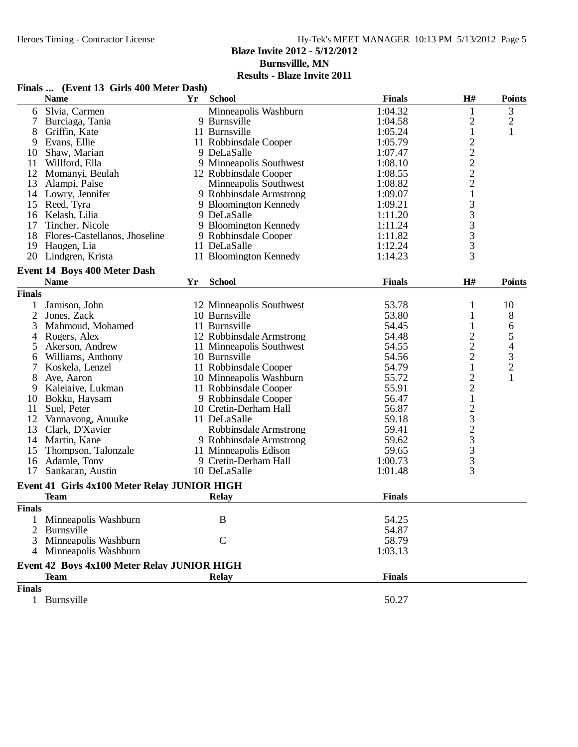## Hy-Tek's MEET MANAGER 10:13 PM 5/13/2012 Page 5

## **Blaze Invite 2012 - 5/12/2012**

**Burnsvillle, MN**

|               | Finals  (Event 13 Girls 400 Meter Dash)                    |    |                          |               |                                                   |                                                 |
|---------------|------------------------------------------------------------|----|--------------------------|---------------|---------------------------------------------------|-------------------------------------------------|
|               | <b>Name</b>                                                | Yr | <b>School</b>            | <b>Finals</b> | H#                                                | <b>Points</b>                                   |
| 6             | Slvia, Carmen                                              |    | Minneapolis Washburn     | 1:04.32       | $\mathbf{1}$                                      | 3                                               |
|               | Burciaga, Tania                                            |    | 9 Burnsville             | 1:04.58       | $\overline{c}$                                    |                                                 |
| 8             | Griffin, Kate                                              |    | 11 Burnsville            | 1:05.24       | $\,1$                                             | $\frac{2}{1}$                                   |
| 9             | Evans, Ellie                                               |    | 11 Robbinsdale Cooper    | 1:05.79       |                                                   |                                                 |
| 10            | Shaw, Marian                                               |    | 9 DeLaSalle              | 1:07.47       |                                                   |                                                 |
| 11            | Willford, Ella                                             |    | 9 Minneapolis Southwest  | 1:08.10       |                                                   |                                                 |
| 12            | Momanyi, Beulah                                            |    | 12 Robbinsdale Cooper    | 1:08.55       | $\begin{array}{c}\n2 \\ 2 \\ 2 \\ 2\n\end{array}$ |                                                 |
| 13            | Alampi, Paise                                              |    | Minneapolis Southwest    | 1:08.82       |                                                   |                                                 |
|               | 14 Lowry, Jennifer                                         |    | 9 Robbinsdale Armstrong  | 1:09.07       | $\,1\,$                                           |                                                 |
|               | 15 Reed, Tyra                                              |    | 9 Bloomington Kennedy    | 1:09.21       | 3                                                 |                                                 |
|               | 16 Kelash, Lilia                                           |    | 9 DeLaSalle              | 1:11.20       |                                                   |                                                 |
| 17            | Tincher, Nicole                                            |    | 9 Bloomington Kennedy    | 1:11.24       |                                                   |                                                 |
| 18            | Flores-Castellanos, Jhoseline                              |    | 9 Robbinsdale Cooper     | 1:11.82       | $\begin{array}{c} 3 \\ 3 \\ 3 \end{array}$        |                                                 |
| 19            | Haugen, Lia                                                |    | 11 DeLaSalle             | 1:12.24       |                                                   |                                                 |
| 20            | Lindgren, Krista                                           |    | 11 Bloomington Kennedy   | 1:14.23       | 3                                                 |                                                 |
|               | Event 14 Boys 400 Meter Dash                               |    |                          |               |                                                   |                                                 |
|               | <b>Name</b>                                                | Yr | <b>School</b>            | <b>Finals</b> | H#                                                | <b>Points</b>                                   |
| <b>Finals</b> |                                                            |    |                          |               |                                                   |                                                 |
| 1             | Jamison, John                                              |    | 12 Minneapolis Southwest | 53.78         | 1                                                 | 10                                              |
| 2             | Jones, Zack                                                |    | 10 Burnsville            | 53.80         | 1                                                 | 8                                               |
| 3             | Mahmoud, Mohamed                                           |    | 11 Burnsville            | 54.45         | 1                                                 | 6                                               |
| 4             | Rogers, Alex                                               |    | 12 Robbinsdale Armstrong | 54.48         | $\overline{c}$                                    |                                                 |
| 5             | Akerson, Andrew                                            |    | 11 Minneapolis Southwest | 54.55         | $\overline{c}$                                    | $\begin{array}{c} 5 \\ 4 \\ 3 \\ 2 \end{array}$ |
| 6             | Williams, Anthony                                          |    | 10 Burnsville            | 54.56         | $\overline{c}$                                    |                                                 |
| 7             | Koskela, Lenzel                                            |    | 11 Robbinsdale Cooper    | 54.79         | $\mathbf{1}$                                      |                                                 |
| 8             | Aye, Aaron                                                 |    | 10 Minneapolis Washburn  | 55.72         | $\overline{c}$                                    | $\mathbf{1}$                                    |
| 9             | Kalejaiye, Lukman                                          |    | 11 Robbinsdale Cooper    | 55.91         | $\overline{c}$                                    |                                                 |
| 10            | Bokku, Haysam                                              |    | 9 Robbinsdale Cooper     | 56.47         | $\mathbf 1$                                       |                                                 |
| 11            | Suel, Peter                                                |    | 10 Cretin-Derham Hall    | 56.87         |                                                   |                                                 |
| 12            | Vannavong, Anuuke                                          |    | 11 DeLaSalle             | 59.18         | $\frac{2}{3}$                                     |                                                 |
| 13            | Clark, D'Xavier                                            |    | Robbinsdale Armstrong    | 59.41         |                                                   |                                                 |
| 14            | Martin, Kane                                               |    | 9 Robbinsdale Armstrong  | 59.62         | $\frac{2}{3}$                                     |                                                 |
| 15            | Thompson, Talonzale                                        |    | 11 Minneapolis Edison    | 59.65         |                                                   |                                                 |
| 16            | Adamle, Tony                                               |    | 9 Cretin-Derham Hall     | 1:00.73       | 3                                                 |                                                 |
| 17            | Sankaran, Austin                                           |    | 10 DeLaSalle             | 1:01.48       | 3                                                 |                                                 |
|               | Event 41 Girls 4x100 Meter Relay JUNIOR HIGH               |    |                          |               |                                                   |                                                 |
|               | <b>Team</b>                                                |    | <b>Relay</b>             | <b>Finals</b> |                                                   |                                                 |
| <b>Finals</b> |                                                            |    |                          |               |                                                   |                                                 |
| 1             | Minneapolis Washburn                                       |    | B                        | 54.25         |                                                   |                                                 |
| 2             | Burnsville                                                 |    |                          | 54.87         |                                                   |                                                 |
| 3             | Minneapolis Washburn                                       |    | $\mathbf C$              | 58.79         |                                                   |                                                 |
|               | Minneapolis Washburn                                       |    |                          | 1:03.13       |                                                   |                                                 |
|               |                                                            |    |                          |               |                                                   |                                                 |
|               | Event 42 Boys 4x100 Meter Relay JUNIOR HIGH<br><b>Team</b> |    | <b>Relay</b>             | <b>Finals</b> |                                                   |                                                 |
| <b>Finals</b> |                                                            |    |                          |               |                                                   |                                                 |
|               |                                                            |    |                          |               |                                                   |                                                 |
|               | 1 Burnsville                                               |    |                          | 50.27         |                                                   |                                                 |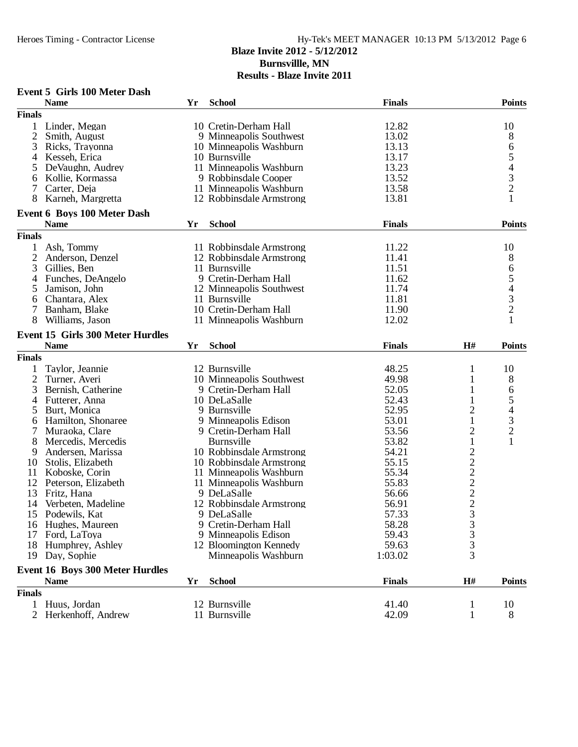|                | <b>Event 5 Girls 100 Meter Dash</b>                   |    |                          |               |                                            |                                                 |
|----------------|-------------------------------------------------------|----|--------------------------|---------------|--------------------------------------------|-------------------------------------------------|
|                | <b>Name</b>                                           | Yr | <b>School</b>            | <b>Finals</b> |                                            | <b>Points</b>                                   |
| <b>Finals</b>  |                                                       |    |                          |               |                                            |                                                 |
|                | 1 Linder, Megan                                       |    | 10 Cretin-Derham Hall    | 12.82         |                                            | 10                                              |
| 2              | Smith, August                                         |    | 9 Minneapolis Southwest  | 13.02         |                                            | 8                                               |
| 3              | Ricks, Trayonna                                       |    | 10 Minneapolis Washburn  | 13.13         |                                            | 6                                               |
| 4              | Kesseh, Erica                                         |    | 10 Burnsville            | 13.17         |                                            |                                                 |
| 5              | DeVaughn, Audrey                                      |    | 11 Minneapolis Washburn  | 13.23         |                                            | $\begin{array}{c} 5 \\ 4 \\ 3 \\ 2 \end{array}$ |
| 6              | Kollie, Kormassa                                      |    | 9 Robbinsdale Cooper     | 13.52         |                                            |                                                 |
| 7              | Carter, Deja                                          |    | 11 Minneapolis Washburn  | 13.58         |                                            |                                                 |
| 8              | Karneh, Margretta                                     |    | 12 Robbinsdale Armstrong | 13.81         |                                            | $\mathbf{1}$                                    |
|                | <b>Event 6 Boys 100 Meter Dash</b>                    |    |                          |               |                                            |                                                 |
|                | <b>Name</b>                                           | Yr | <b>School</b>            | <b>Finals</b> |                                            | <b>Points</b>                                   |
| <b>Finals</b>  |                                                       |    |                          |               |                                            |                                                 |
| 1              | Ash, Tommy                                            |    | 11 Robbinsdale Armstrong | 11.22         |                                            | 10                                              |
| $\overline{2}$ |                                                       |    |                          | 11.41         |                                            |                                                 |
|                | Anderson, Denzel                                      |    | 12 Robbinsdale Armstrong |               |                                            | 8                                               |
| 3              | Gillies, Ben                                          |    | 11 Burnsville            | 11.51         |                                            | $\frac{6}{5}$                                   |
| 4              | Funches, DeAngelo                                     |    | 9 Cretin-Derham Hall     | 11.62         |                                            |                                                 |
| 5              | Jamison, John                                         |    | 12 Minneapolis Southwest | 11.74         |                                            | $\begin{array}{c} 4 \\ 3 \\ 2 \end{array}$      |
| 6              | Chantara, Alex                                        |    | 11 Burnsville            | 11.81         |                                            |                                                 |
| 7              | Banham, Blake                                         |    | 10 Cretin-Derham Hall    | 11.90         |                                            |                                                 |
| 8              | Williams, Jason                                       |    | 11 Minneapolis Washburn  | 12.02         |                                            |                                                 |
|                | Event 15 Girls 300 Meter Hurdles                      |    |                          |               |                                            |                                                 |
|                | <b>Name</b>                                           | Yr | <b>School</b>            | <b>Finals</b> | H#                                         | <b>Points</b>                                   |
| <b>Finals</b>  |                                                       |    |                          |               |                                            |                                                 |
| 1              | Taylor, Jeannie                                       |    | 12 Burnsville            | 48.25         | 1                                          | 10                                              |
| $\overline{c}$ | Turner, Averi                                         |    | 10 Minneapolis Southwest | 49.98         | 1                                          | 8                                               |
| 3              | Bernish, Catherine                                    |    | 9 Cretin-Derham Hall     | 52.05         | 1                                          | 6                                               |
| 4              | Futterer, Anna                                        |    | 10 DeLaSalle             | 52.43         |                                            | 5                                               |
| 5              | Burt, Monica                                          |    | 9 Burnsville             | 52.95         | $\overline{c}$                             | $\overline{\mathcal{L}}$                        |
| 6              | Hamilton, Shonaree                                    |    | 9 Minneapolis Edison     | 53.01         | 1                                          |                                                 |
|                | Muraoka, Clare                                        |    | 9 Cretin-Derham Hall     | 53.56         | $\overline{c}$                             | $\begin{array}{c} 3 \\ 2 \\ 1 \end{array}$      |
| 8              | Mercedis, Mercedis                                    |    | <b>Burnsville</b>        | 53.82         | $\,1$                                      |                                                 |
| 9              | Andersen, Marissa                                     |    | 10 Robbinsdale Armstrong | 54.21         |                                            |                                                 |
| 10             | Stolis, Elizabeth                                     |    | 10 Robbinsdale Armstrong | 55.15         |                                            |                                                 |
| 11             | Koboske, Corin                                        |    | 11 Minneapolis Washburn  | 55.34         |                                            |                                                 |
| 12             | Peterson, Elizabeth                                   |    | 11 Minneapolis Washburn  | 55.83         | $\frac{2}{2}$ $\frac{2}{2}$ $\frac{2}{2}$  |                                                 |
| 13             | Fritz, Hana                                           |    | 9 DeLaSalle              | 56.66         |                                            |                                                 |
| 14             | Verbeten, Madeline                                    |    | 12 Robbinsdale Armstrong | 56.91         |                                            |                                                 |
|                | 15 Podewils, Kat                                      |    | 9 DeLaSalle              | 57.33         |                                            |                                                 |
|                |                                                       |    | 9 Cretin-Derham Hall     | 58.28         | $\begin{array}{c} 3 \\ 3 \\ 3 \end{array}$ |                                                 |
|                | 16 Hughes, Maureen                                    |    | 9 Minneapolis Edison     |               |                                            |                                                 |
| 17             | Ford, LaToya                                          |    |                          | 59.43         |                                            |                                                 |
|                | 18 Humphrey, Ashley                                   |    | 12 Bloomington Kennedy   | 59.63         | 3<br>$\overline{3}$                        |                                                 |
| 19             | Day, Sophie                                           |    | Minneapolis Washburn     | 1:03.02       |                                            |                                                 |
|                | <b>Event 16 Boys 300 Meter Hurdles</b><br><b>Name</b> | Yr | <b>School</b>            | <b>Finals</b> | H#                                         | <b>Points</b>                                   |
|                |                                                       |    |                          |               |                                            |                                                 |
| <b>Finals</b>  |                                                       |    |                          |               |                                            |                                                 |
| $\mathbf{1}$   | Huus, Jordan                                          |    | 12 Burnsville            | 41.40         | 1                                          | 10                                              |
|                | 2 Herkenhoff, Andrew                                  |    | 11 Burnsville            | 42.09         | 1                                          | 8                                               |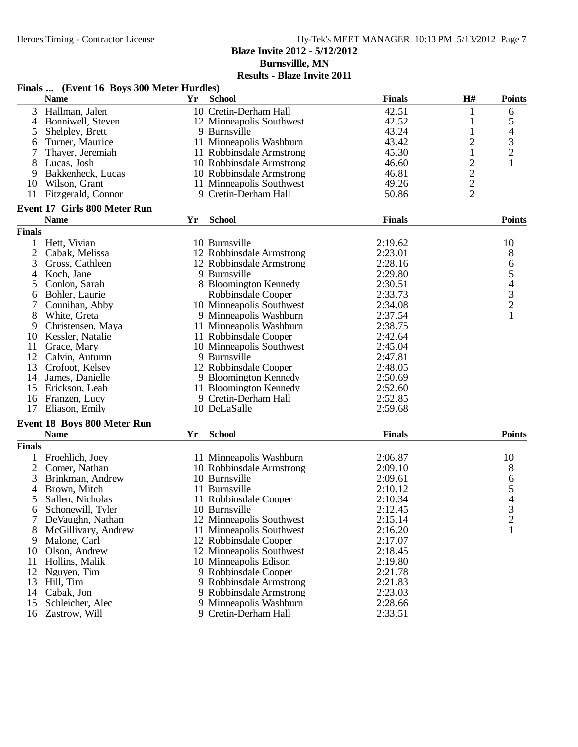**Burnsvillle, MN**

|                | Finals  (Event 16 Boys 300 Meter Hurdles) |      |                          |               |                         |                                       |
|----------------|-------------------------------------------|------|--------------------------|---------------|-------------------------|---------------------------------------|
|                | <b>Name</b>                               | Yr 1 | <b>School</b>            | <b>Finals</b> | H#                      | <b>Points</b>                         |
| 3              | Hallman, Jalen                            |      | 10 Cretin-Derham Hall    | 42.51         | $\mathbf{1}$            | 6                                     |
| $\overline{4}$ | Bonniwell, Steven                         |      | 12 Minneapolis Southwest | 42.52         | 1                       | 5                                     |
| 5              | Shelpley, Brett                           |      | 9 Burnsville             | 43.24         | 1                       | 4                                     |
| 6              | Turner, Maurice                           |      | 11 Minneapolis Washburn  | 43.42         | $\overline{c}$          |                                       |
|                | Thayer, Jeremiah                          |      | 11 Robbinsdale Armstrong | 45.30         | $\mathbf{1}$            | $\frac{3}{2}$                         |
| 8              | Lucas, Josh                               |      | 10 Robbinsdale Armstrong | 46.60         | $\overline{\mathbf{c}}$ | 1                                     |
| 9              | Bakkenheck, Lucas                         |      | 10 Robbinsdale Armstrong | 46.81         |                         |                                       |
| 10             | Wilson, Grant                             |      | 11 Minneapolis Southwest | 49.26         | $\frac{2}{2}$           |                                       |
| 11             | Fitzgerald, Connor                        |      | 9 Cretin-Derham Hall     | 50.86         |                         |                                       |
|                | <b>Event 17 Girls 800 Meter Run</b>       |      |                          |               |                         |                                       |
|                | <b>Name</b>                               | Yr   | <b>School</b>            | <b>Finals</b> |                         | <b>Points</b>                         |
| <b>Finals</b>  |                                           |      |                          |               |                         |                                       |
| 1              | Hett, Vivian                              |      | 10 Burnsville            | 2:19.62       |                         | 10                                    |
| $\mathfrak{2}$ | Cabak, Melissa                            |      | 12 Robbinsdale Armstrong | 2:23.01       |                         | 8                                     |
| 3              | Gross, Cathleen                           |      | 12 Robbinsdale Armstrong | 2:28.16       |                         | 65432                                 |
| 4              | Koch, Jane                                |      | 9 Burnsville             | 2:29.80       |                         |                                       |
| 5              | Conlon, Sarah                             |      | 8 Bloomington Kennedy    | 2:30.51       |                         |                                       |
| 6              | Bohler, Laurie                            |      | Robbinsdale Cooper       | 2:33.73       |                         |                                       |
|                | Counihan, Abby                            |      | 10 Minneapolis Southwest | 2:34.08       |                         |                                       |
| 8              | White, Greta                              |      | 9 Minneapolis Washburn   | 2:37.54       |                         | $\mathbf{1}$                          |
| 9              | Christensen, Maya                         |      | 11 Minneapolis Washburn  | 2:38.75       |                         |                                       |
| 10             | Kessler, Natalie                          |      | 11 Robbinsdale Cooper    | 2:42.64       |                         |                                       |
| 11             | Grace, Mary                               |      | 10 Minneapolis Southwest | 2:45.04       |                         |                                       |
| 12             | Calvin, Autumn                            |      | 9 Burnsville             | 2:47.81       |                         |                                       |
| 13             | Crofoot, Kelsey                           |      | 12 Robbinsdale Cooper    | 2:48.05       |                         |                                       |
| 14             | James, Danielle                           |      | 9 Bloomington Kennedy    | 2:50.69       |                         |                                       |
| 15             | Erickson, Leah                            |      | 11 Bloomington Kennedy   | 2:52.60       |                         |                                       |
| 16             | Franzen, Lucy                             |      | 9 Cretin-Derham Hall     | 2:52.85       |                         |                                       |
| 17             | Eliason, Emily                            |      | 10 DeLaSalle             | 2:59.68       |                         |                                       |
|                | <b>Event 18 Boys 800 Meter Run</b>        |      |                          |               |                         |                                       |
|                | <b>Name</b>                               | Yr   | <b>School</b>            | <b>Finals</b> |                         | <b>Points</b>                         |
| <b>Finals</b>  |                                           |      |                          |               |                         |                                       |
|                | Froehlich, Joey                           |      | 11 Minneapolis Washburn  | 2:06.87       |                         | 10                                    |
| 2              | Comer, Nathan                             |      | 10 Robbinsdale Armstrong | 2:09.10       |                         | 8                                     |
| 3              | Brinkman, Andrew                          |      | 10 Burnsville            | 2:09.61       |                         | $\begin{array}{c} 6 \\ 5 \end{array}$ |
| 4              | Brown, Mitch                              |      | 11 Burnsville            | 2:10.12       |                         |                                       |
|                | Sallen, Nicholas                          |      | 11 Robbinsdale Cooper    | 2:10.34       |                         | $\overline{\mathcal{A}}$              |
| 6              | Schonewill, Tyler                         |      | 10 Burnsville            | 2:12.45       |                         | $\mathfrak{Z}$                        |
|                | DeVaughn, Nathan                          |      | 12 Minneapolis Southwest | 2:15.14       |                         | $\overline{c}$                        |
| 8              | McGillivary, Andrew                       |      | 11 Minneapolis Southwest | 2:16.20       |                         | $\mathbf{1}$                          |
| 9              | Malone, Carl                              |      | 12 Robbinsdale Cooper    | 2:17.07       |                         |                                       |
| 10             | Olson, Andrew                             |      | 12 Minneapolis Southwest | 2:18.45       |                         |                                       |
| 11             | Hollins, Malik                            |      | 10 Minneapolis Edison    | 2:19.80       |                         |                                       |
| 12             | Nguyen, Tim                               |      | 9 Robbinsdale Cooper     | 2:21.78       |                         |                                       |
| 13             | Hill, Tim                                 |      | 9 Robbinsdale Armstrong  | 2:21.83       |                         |                                       |
| 14             | Cabak, Jon                                |      | 9 Robbinsdale Armstrong  | 2:23.03       |                         |                                       |
| 15             | Schleicher, Alec                          |      | 9 Minneapolis Washburn   | 2:28.66       |                         |                                       |
| 16             | Zastrow, Will                             |      | 9 Cretin-Derham Hall     | 2:33.51       |                         |                                       |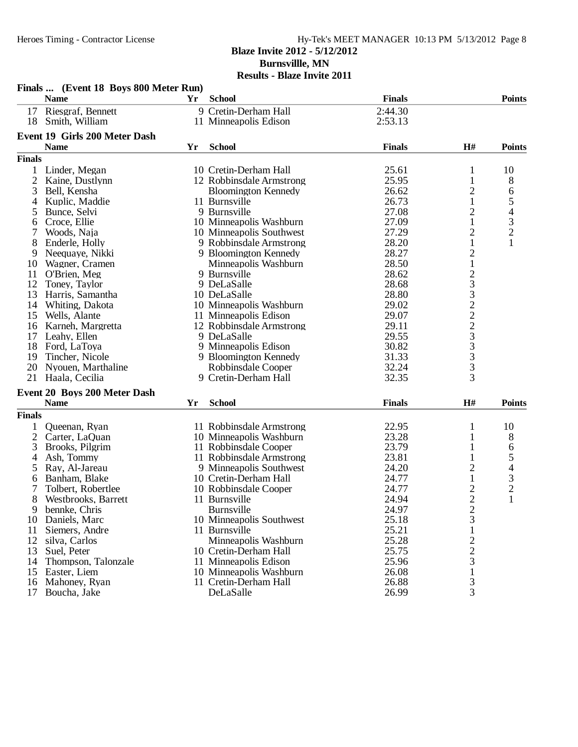# Heroes Timing - Contractor License Hy-Tek's MEET MANAGER 10:13 PM 5/13/2012 Page 8

## **Blaze Invite 2012 - 5/12/2012 Burnsvillle, MN Results - Blaze Invite 2011**

|                | Finals  (Event 18 Boys 800 Meter Run) |    |                            |               |                         |                |
|----------------|---------------------------------------|----|----------------------------|---------------|-------------------------|----------------|
|                | <b>Name</b>                           | Yr | <b>School</b>              | <b>Finals</b> |                         | <b>Points</b>  |
| 17             | Riesgraf, Bennett                     |    | 9 Cretin-Derham Hall       | 2:44.30       |                         |                |
| 18             | Smith, William                        |    | 11 Minneapolis Edison      | 2:53.13       |                         |                |
|                | <b>Event 19 Girls 200 Meter Dash</b>  |    |                            |               |                         |                |
|                | <b>Name</b>                           | Yr | <b>School</b>              | <b>Finals</b> | H#                      | <b>Points</b>  |
| <b>Finals</b>  |                                       |    |                            |               |                         |                |
|                |                                       |    |                            |               |                         |                |
| 1              | Linder, Megan                         |    | 10 Cretin-Derham Hall      | 25.61         | 1                       | 10             |
| 2              | Kaine, Dustlynn                       |    | 12 Robbinsdale Armstrong   | 25.95         | 1                       | 8              |
| 3              | Bell, Kensha                          |    | <b>Bloomington Kennedy</b> | 26.62         | 2                       | 6              |
| 4              | Kuplic, Maddie                        |    | 11 Burnsville              | 26.73         | 1                       | 5              |
| 5              | Bunce, Selvi                          |    | 9 Burnsville               | 27.08         | $\overline{c}$          | $rac{4}{3}$    |
| 6              | Croce, Ellie                          |    | 10 Minneapolis Washburn    | 27.09         | $\mathbf{1}$            |                |
|                | Woods, Naja                           |    | 10 Minneapolis Southwest   | 27.29         | $\overline{c}$          | $\overline{c}$ |
| 8              | Enderle, Holly                        |    | 9 Robbinsdale Armstrong    | 28.20         | $\mathbf{1}$            | $\mathbf{1}$   |
| 9              | Neequaye, Nikki                       |    | 9 Bloomington Kennedy      | 28.27         | $\overline{c}$          |                |
| 10             | Wagner, Cramen                        |    | Minneapolis Washburn       | 28.50         | $\,1$                   |                |
| 11             | O'Brien, Meg                          |    | 9 Burnsville               | 28.62         |                         |                |
| 12             | Toney, Taylor                         |    | 9 DeLaSalle                | 28.68         |                         |                |
| 13             | Harris, Samantha                      |    | 10 DeLaSalle               | 28.80         |                         |                |
| 14             | Whiting, Dakota                       |    | 10 Minneapolis Washburn    | 29.02         |                         |                |
| 15             | Wells, Alante                         |    | 11 Minneapolis Edison      | 29.07         |                         |                |
| 16             | Karneh, Margretta                     |    | 12 Robbinsdale Armstrong   | 29.11         | 2332223333              |                |
| 17             | Leahy, Ellen                          |    | 9 DeLaSalle                | 29.55         |                         |                |
| 18             | Ford, LaToya                          |    | 9 Minneapolis Edison       | 30.82         |                         |                |
| 19             | Tincher, Nicole                       |    | 9 Bloomington Kennedy      | 31.33         |                         |                |
| 20             | Nyouen, Marthaline                    |    | Robbinsdale Cooper         | 32.24         |                         |                |
| 21             | Haala, Cecilia                        |    | 9 Cretin-Derham Hall       | 32.35         |                         |                |
|                | Event 20 Boys 200 Meter Dash          |    |                            |               |                         |                |
|                | <b>Name</b>                           | Yr | <b>School</b>              | <b>Finals</b> | H#                      | <b>Points</b>  |
| <b>Finals</b>  |                                       |    |                            |               |                         |                |
|                | Queenan, Ryan                         |    | 11 Robbinsdale Armstrong   | 22.95         | 1                       | 10             |
| $\overline{2}$ | Carter, LaQuan                        |    | 10 Minneapolis Washburn    | 23.28         | 1                       | 8              |
| 3              | Brooks, Pilgrim                       |    | 11 Robbinsdale Cooper      | 23.79         | 1                       | 6              |
| 4              | Ash, Tommy                            |    | 11 Robbinsdale Armstrong   | 23.81         | 1                       | 5              |
| 5              | Ray, Al-Jareau                        |    | 9 Minneapolis Southwest    | 24.20         | 2                       | 4              |
| 6              | Banham, Blake                         |    | 10 Cretin-Derham Hall      | 24.77         | 1                       | 3              |
| 7              | Tolbert, Robertlee                    |    | 10 Robbinsdale Cooper      | 24.77         | $\overline{c}$          | $\overline{c}$ |
| 8              | Westbrooks, Barrett                   |    | 11 Burnsville              | 24.94         | $\overline{2}$          | 1              |
| 9              | bennke, Chris                         |    | Burnsville                 | 24.97         | $\overline{\mathbf{c}}$ |                |
| 10             | Daniels, Marc                         |    | 10 Minneapolis Southwest   | 25.18         | 3                       |                |
| 11             | Siemers, Andre                        |    | 11 Burnsville              | 25.21         | 1                       |                |
| 12             | silva, Carlos                         |    | Minneapolis Washburn       | 25.28         |                         |                |
| 13             | Suel, Peter                           |    | 10 Cretin-Derham Hall      | 25.75         |                         |                |
| 14             | Thompson, Talonzale                   |    | 11 Minneapolis Edison      | 25.96         | $\frac{2}{3}$           |                |
| 15             | Easter, Liem                          |    | 10 Minneapolis Washburn    | 26.08         | $\mathbf{1}$            |                |
| 16             | Mahoney, Ryan                         |    | 11 Cretin-Derham Hall      | 26.88         |                         |                |
| 17             | Boucha, Jake                          |    | DeLaSalle                  | 26.99         | $\frac{3}{3}$           |                |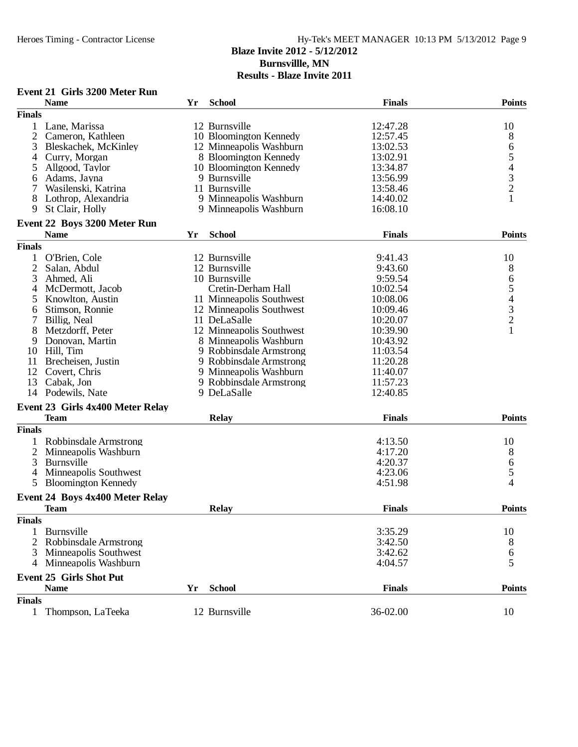| <b>Name</b><br><b>School</b><br><b>Finals</b><br><b>Points</b><br>Yr<br><b>Finals</b><br>1 Lane, Marissa<br>12 Burnsville<br>12:47.28<br>10<br>2<br>10 Bloomington Kennedy<br>12:57.45<br>8<br>Cameron, Kathleen<br>3<br>13:02.53<br>6<br>Bleskachek, McKinley<br>12 Minneapolis Washburn<br>$\begin{array}{c} 5 \\ 4 \\ 3 \\ 2 \end{array}$<br>13:02.91<br>Curry, Morgan<br>8 Bloomington Kennedy<br>4<br>13:34.87<br>5<br>Allgood, Taylor<br>10 Bloomington Kennedy<br>9 Burnsville<br>Adams, Jayna<br>13:56.99<br>6<br>11 Burnsville<br>7<br>Wasilenski, Katrina<br>13:58.46<br>$\mathbf{1}$<br>9 Minneapolis Washburn<br>8<br>Lothrop, Alexandria<br>14:40.02<br>9<br>St Clair, Holly<br>9 Minneapolis Washburn<br>16:08.10<br>Event 22 Boys 3200 Meter Run<br><b>School</b><br><b>Points</b><br><b>Name</b><br>Yr<br><b>Finals</b><br><b>Finals</b><br>10<br>1<br>O'Brien, Cole<br>12 Burnsville<br>9:41.43<br>2<br>8<br>12 Burnsville<br>Salan, Abdul<br>9:43.60<br>6<br>10 Burnsville<br>3<br>Ahmed, Ali<br>9:59.54<br>$\begin{array}{c} 5 \\ 4 \\ 3 \\ 2 \end{array}$<br>4<br>Cretin-Derham Hall<br>10:02.54<br>McDermott, Jacob<br>5<br>Knowlton, Austin<br>11 Minneapolis Southwest<br>10:08.06<br>Stimson, Ronnie<br>12 Minneapolis Southwest<br>10:09.46<br>6<br>7<br>11 DeLaSalle<br>Billig, Neal<br>10:20.07<br>8<br>Metzdorff, Peter<br>12 Minneapolis Southwest<br>10:39.90<br>9<br>Donovan, Martin<br>8 Minneapolis Washburn<br>10:43.92<br>11:03.54<br>10 Hill, Tim<br>9 Robbinsdale Armstrong<br>Brecheisen, Justin<br>9 Robbinsdale Armstrong<br>11:20.28<br>11<br>12<br>Covert, Chris<br>9 Minneapolis Washburn<br>11:40.07<br>13<br>Cabak, Jon<br>9 Robbinsdale Armstrong<br>11:57.23<br>14 Podewils, Nate<br>9 DeLaSalle<br>12:40.85<br>Event 23 Girls 4x400 Meter Relay<br><b>Team</b><br><b>Finals</b><br><b>Points</b><br><b>Relay</b><br><b>Finals</b><br>Robbinsdale Armstrong<br>4:13.50<br>10<br>$\overline{2}$<br>8<br>Minneapolis Washburn<br>4:17.20<br>Burnsville<br>4:20.37<br>3<br>6<br>5<br>Minneapolis Southwest<br>4:23.06<br>4<br>4<br>5<br><b>Bloomington Kennedy</b><br>4:51.98<br>Event 24 Boys 4x400 Meter Relay<br><b>Relay</b><br><b>Points</b><br><b>Finals</b><br>Team<br><b>Finals</b><br>1 Burnsville<br>3:35.29<br>10<br>2 Robbinsdale Armstrong<br>3:42.50<br>8<br>6<br>3<br><b>Minneapolis Southwest</b><br>3:42.62<br>5<br>4 Minneapolis Washburn<br>4:04.57<br><b>Event 25 Girls Shot Put</b><br><b>Finals</b><br><b>Name</b><br><b>School</b><br><b>Points</b><br>Yr<br><b>Finals</b><br>36-02.00<br>Thompson, LaTeeka<br>12 Burnsville<br>10<br>$\mathbf{1}$ | <b>Event 21 Girls 3200 Meter Run</b> |  |  |
|-----------------------------------------------------------------------------------------------------------------------------------------------------------------------------------------------------------------------------------------------------------------------------------------------------------------------------------------------------------------------------------------------------------------------------------------------------------------------------------------------------------------------------------------------------------------------------------------------------------------------------------------------------------------------------------------------------------------------------------------------------------------------------------------------------------------------------------------------------------------------------------------------------------------------------------------------------------------------------------------------------------------------------------------------------------------------------------------------------------------------------------------------------------------------------------------------------------------------------------------------------------------------------------------------------------------------------------------------------------------------------------------------------------------------------------------------------------------------------------------------------------------------------------------------------------------------------------------------------------------------------------------------------------------------------------------------------------------------------------------------------------------------------------------------------------------------------------------------------------------------------------------------------------------------------------------------------------------------------------------------------------------------------------------------------------------------------------------------------------------------------------------------------------------------------------------------------------------------------------------------------------------------------------------------------------------------------------------------------------------------------------------------------------------------------------------------------------------------------------------------------------------------------------------------------------------------------------------------------------------------|--------------------------------------|--|--|
|                                                                                                                                                                                                                                                                                                                                                                                                                                                                                                                                                                                                                                                                                                                                                                                                                                                                                                                                                                                                                                                                                                                                                                                                                                                                                                                                                                                                                                                                                                                                                                                                                                                                                                                                                                                                                                                                                                                                                                                                                                                                                                                                                                                                                                                                                                                                                                                                                                                                                                                                                                                                                       |                                      |  |  |
|                                                                                                                                                                                                                                                                                                                                                                                                                                                                                                                                                                                                                                                                                                                                                                                                                                                                                                                                                                                                                                                                                                                                                                                                                                                                                                                                                                                                                                                                                                                                                                                                                                                                                                                                                                                                                                                                                                                                                                                                                                                                                                                                                                                                                                                                                                                                                                                                                                                                                                                                                                                                                       |                                      |  |  |
|                                                                                                                                                                                                                                                                                                                                                                                                                                                                                                                                                                                                                                                                                                                                                                                                                                                                                                                                                                                                                                                                                                                                                                                                                                                                                                                                                                                                                                                                                                                                                                                                                                                                                                                                                                                                                                                                                                                                                                                                                                                                                                                                                                                                                                                                                                                                                                                                                                                                                                                                                                                                                       |                                      |  |  |
|                                                                                                                                                                                                                                                                                                                                                                                                                                                                                                                                                                                                                                                                                                                                                                                                                                                                                                                                                                                                                                                                                                                                                                                                                                                                                                                                                                                                                                                                                                                                                                                                                                                                                                                                                                                                                                                                                                                                                                                                                                                                                                                                                                                                                                                                                                                                                                                                                                                                                                                                                                                                                       |                                      |  |  |
|                                                                                                                                                                                                                                                                                                                                                                                                                                                                                                                                                                                                                                                                                                                                                                                                                                                                                                                                                                                                                                                                                                                                                                                                                                                                                                                                                                                                                                                                                                                                                                                                                                                                                                                                                                                                                                                                                                                                                                                                                                                                                                                                                                                                                                                                                                                                                                                                                                                                                                                                                                                                                       |                                      |  |  |
|                                                                                                                                                                                                                                                                                                                                                                                                                                                                                                                                                                                                                                                                                                                                                                                                                                                                                                                                                                                                                                                                                                                                                                                                                                                                                                                                                                                                                                                                                                                                                                                                                                                                                                                                                                                                                                                                                                                                                                                                                                                                                                                                                                                                                                                                                                                                                                                                                                                                                                                                                                                                                       |                                      |  |  |
|                                                                                                                                                                                                                                                                                                                                                                                                                                                                                                                                                                                                                                                                                                                                                                                                                                                                                                                                                                                                                                                                                                                                                                                                                                                                                                                                                                                                                                                                                                                                                                                                                                                                                                                                                                                                                                                                                                                                                                                                                                                                                                                                                                                                                                                                                                                                                                                                                                                                                                                                                                                                                       |                                      |  |  |
|                                                                                                                                                                                                                                                                                                                                                                                                                                                                                                                                                                                                                                                                                                                                                                                                                                                                                                                                                                                                                                                                                                                                                                                                                                                                                                                                                                                                                                                                                                                                                                                                                                                                                                                                                                                                                                                                                                                                                                                                                                                                                                                                                                                                                                                                                                                                                                                                                                                                                                                                                                                                                       |                                      |  |  |
|                                                                                                                                                                                                                                                                                                                                                                                                                                                                                                                                                                                                                                                                                                                                                                                                                                                                                                                                                                                                                                                                                                                                                                                                                                                                                                                                                                                                                                                                                                                                                                                                                                                                                                                                                                                                                                                                                                                                                                                                                                                                                                                                                                                                                                                                                                                                                                                                                                                                                                                                                                                                                       |                                      |  |  |
|                                                                                                                                                                                                                                                                                                                                                                                                                                                                                                                                                                                                                                                                                                                                                                                                                                                                                                                                                                                                                                                                                                                                                                                                                                                                                                                                                                                                                                                                                                                                                                                                                                                                                                                                                                                                                                                                                                                                                                                                                                                                                                                                                                                                                                                                                                                                                                                                                                                                                                                                                                                                                       |                                      |  |  |
|                                                                                                                                                                                                                                                                                                                                                                                                                                                                                                                                                                                                                                                                                                                                                                                                                                                                                                                                                                                                                                                                                                                                                                                                                                                                                                                                                                                                                                                                                                                                                                                                                                                                                                                                                                                                                                                                                                                                                                                                                                                                                                                                                                                                                                                                                                                                                                                                                                                                                                                                                                                                                       |                                      |  |  |
|                                                                                                                                                                                                                                                                                                                                                                                                                                                                                                                                                                                                                                                                                                                                                                                                                                                                                                                                                                                                                                                                                                                                                                                                                                                                                                                                                                                                                                                                                                                                                                                                                                                                                                                                                                                                                                                                                                                                                                                                                                                                                                                                                                                                                                                                                                                                                                                                                                                                                                                                                                                                                       |                                      |  |  |
|                                                                                                                                                                                                                                                                                                                                                                                                                                                                                                                                                                                                                                                                                                                                                                                                                                                                                                                                                                                                                                                                                                                                                                                                                                                                                                                                                                                                                                                                                                                                                                                                                                                                                                                                                                                                                                                                                                                                                                                                                                                                                                                                                                                                                                                                                                                                                                                                                                                                                                                                                                                                                       |                                      |  |  |
|                                                                                                                                                                                                                                                                                                                                                                                                                                                                                                                                                                                                                                                                                                                                                                                                                                                                                                                                                                                                                                                                                                                                                                                                                                                                                                                                                                                                                                                                                                                                                                                                                                                                                                                                                                                                                                                                                                                                                                                                                                                                                                                                                                                                                                                                                                                                                                                                                                                                                                                                                                                                                       |                                      |  |  |
|                                                                                                                                                                                                                                                                                                                                                                                                                                                                                                                                                                                                                                                                                                                                                                                                                                                                                                                                                                                                                                                                                                                                                                                                                                                                                                                                                                                                                                                                                                                                                                                                                                                                                                                                                                                                                                                                                                                                                                                                                                                                                                                                                                                                                                                                                                                                                                                                                                                                                                                                                                                                                       |                                      |  |  |
|                                                                                                                                                                                                                                                                                                                                                                                                                                                                                                                                                                                                                                                                                                                                                                                                                                                                                                                                                                                                                                                                                                                                                                                                                                                                                                                                                                                                                                                                                                                                                                                                                                                                                                                                                                                                                                                                                                                                                                                                                                                                                                                                                                                                                                                                                                                                                                                                                                                                                                                                                                                                                       |                                      |  |  |
|                                                                                                                                                                                                                                                                                                                                                                                                                                                                                                                                                                                                                                                                                                                                                                                                                                                                                                                                                                                                                                                                                                                                                                                                                                                                                                                                                                                                                                                                                                                                                                                                                                                                                                                                                                                                                                                                                                                                                                                                                                                                                                                                                                                                                                                                                                                                                                                                                                                                                                                                                                                                                       |                                      |  |  |
|                                                                                                                                                                                                                                                                                                                                                                                                                                                                                                                                                                                                                                                                                                                                                                                                                                                                                                                                                                                                                                                                                                                                                                                                                                                                                                                                                                                                                                                                                                                                                                                                                                                                                                                                                                                                                                                                                                                                                                                                                                                                                                                                                                                                                                                                                                                                                                                                                                                                                                                                                                                                                       |                                      |  |  |
|                                                                                                                                                                                                                                                                                                                                                                                                                                                                                                                                                                                                                                                                                                                                                                                                                                                                                                                                                                                                                                                                                                                                                                                                                                                                                                                                                                                                                                                                                                                                                                                                                                                                                                                                                                                                                                                                                                                                                                                                                                                                                                                                                                                                                                                                                                                                                                                                                                                                                                                                                                                                                       |                                      |  |  |
|                                                                                                                                                                                                                                                                                                                                                                                                                                                                                                                                                                                                                                                                                                                                                                                                                                                                                                                                                                                                                                                                                                                                                                                                                                                                                                                                                                                                                                                                                                                                                                                                                                                                                                                                                                                                                                                                                                                                                                                                                                                                                                                                                                                                                                                                                                                                                                                                                                                                                                                                                                                                                       |                                      |  |  |
|                                                                                                                                                                                                                                                                                                                                                                                                                                                                                                                                                                                                                                                                                                                                                                                                                                                                                                                                                                                                                                                                                                                                                                                                                                                                                                                                                                                                                                                                                                                                                                                                                                                                                                                                                                                                                                                                                                                                                                                                                                                                                                                                                                                                                                                                                                                                                                                                                                                                                                                                                                                                                       |                                      |  |  |
|                                                                                                                                                                                                                                                                                                                                                                                                                                                                                                                                                                                                                                                                                                                                                                                                                                                                                                                                                                                                                                                                                                                                                                                                                                                                                                                                                                                                                                                                                                                                                                                                                                                                                                                                                                                                                                                                                                                                                                                                                                                                                                                                                                                                                                                                                                                                                                                                                                                                                                                                                                                                                       |                                      |  |  |
|                                                                                                                                                                                                                                                                                                                                                                                                                                                                                                                                                                                                                                                                                                                                                                                                                                                                                                                                                                                                                                                                                                                                                                                                                                                                                                                                                                                                                                                                                                                                                                                                                                                                                                                                                                                                                                                                                                                                                                                                                                                                                                                                                                                                                                                                                                                                                                                                                                                                                                                                                                                                                       |                                      |  |  |
|                                                                                                                                                                                                                                                                                                                                                                                                                                                                                                                                                                                                                                                                                                                                                                                                                                                                                                                                                                                                                                                                                                                                                                                                                                                                                                                                                                                                                                                                                                                                                                                                                                                                                                                                                                                                                                                                                                                                                                                                                                                                                                                                                                                                                                                                                                                                                                                                                                                                                                                                                                                                                       |                                      |  |  |
|                                                                                                                                                                                                                                                                                                                                                                                                                                                                                                                                                                                                                                                                                                                                                                                                                                                                                                                                                                                                                                                                                                                                                                                                                                                                                                                                                                                                                                                                                                                                                                                                                                                                                                                                                                                                                                                                                                                                                                                                                                                                                                                                                                                                                                                                                                                                                                                                                                                                                                                                                                                                                       |                                      |  |  |
|                                                                                                                                                                                                                                                                                                                                                                                                                                                                                                                                                                                                                                                                                                                                                                                                                                                                                                                                                                                                                                                                                                                                                                                                                                                                                                                                                                                                                                                                                                                                                                                                                                                                                                                                                                                                                                                                                                                                                                                                                                                                                                                                                                                                                                                                                                                                                                                                                                                                                                                                                                                                                       |                                      |  |  |
|                                                                                                                                                                                                                                                                                                                                                                                                                                                                                                                                                                                                                                                                                                                                                                                                                                                                                                                                                                                                                                                                                                                                                                                                                                                                                                                                                                                                                                                                                                                                                                                                                                                                                                                                                                                                                                                                                                                                                                                                                                                                                                                                                                                                                                                                                                                                                                                                                                                                                                                                                                                                                       |                                      |  |  |
|                                                                                                                                                                                                                                                                                                                                                                                                                                                                                                                                                                                                                                                                                                                                                                                                                                                                                                                                                                                                                                                                                                                                                                                                                                                                                                                                                                                                                                                                                                                                                                                                                                                                                                                                                                                                                                                                                                                                                                                                                                                                                                                                                                                                                                                                                                                                                                                                                                                                                                                                                                                                                       |                                      |  |  |
|                                                                                                                                                                                                                                                                                                                                                                                                                                                                                                                                                                                                                                                                                                                                                                                                                                                                                                                                                                                                                                                                                                                                                                                                                                                                                                                                                                                                                                                                                                                                                                                                                                                                                                                                                                                                                                                                                                                                                                                                                                                                                                                                                                                                                                                                                                                                                                                                                                                                                                                                                                                                                       |                                      |  |  |
|                                                                                                                                                                                                                                                                                                                                                                                                                                                                                                                                                                                                                                                                                                                                                                                                                                                                                                                                                                                                                                                                                                                                                                                                                                                                                                                                                                                                                                                                                                                                                                                                                                                                                                                                                                                                                                                                                                                                                                                                                                                                                                                                                                                                                                                                                                                                                                                                                                                                                                                                                                                                                       |                                      |  |  |
|                                                                                                                                                                                                                                                                                                                                                                                                                                                                                                                                                                                                                                                                                                                                                                                                                                                                                                                                                                                                                                                                                                                                                                                                                                                                                                                                                                                                                                                                                                                                                                                                                                                                                                                                                                                                                                                                                                                                                                                                                                                                                                                                                                                                                                                                                                                                                                                                                                                                                                                                                                                                                       |                                      |  |  |
|                                                                                                                                                                                                                                                                                                                                                                                                                                                                                                                                                                                                                                                                                                                                                                                                                                                                                                                                                                                                                                                                                                                                                                                                                                                                                                                                                                                                                                                                                                                                                                                                                                                                                                                                                                                                                                                                                                                                                                                                                                                                                                                                                                                                                                                                                                                                                                                                                                                                                                                                                                                                                       |                                      |  |  |
|                                                                                                                                                                                                                                                                                                                                                                                                                                                                                                                                                                                                                                                                                                                                                                                                                                                                                                                                                                                                                                                                                                                                                                                                                                                                                                                                                                                                                                                                                                                                                                                                                                                                                                                                                                                                                                                                                                                                                                                                                                                                                                                                                                                                                                                                                                                                                                                                                                                                                                                                                                                                                       |                                      |  |  |
|                                                                                                                                                                                                                                                                                                                                                                                                                                                                                                                                                                                                                                                                                                                                                                                                                                                                                                                                                                                                                                                                                                                                                                                                                                                                                                                                                                                                                                                                                                                                                                                                                                                                                                                                                                                                                                                                                                                                                                                                                                                                                                                                                                                                                                                                                                                                                                                                                                                                                                                                                                                                                       |                                      |  |  |
|                                                                                                                                                                                                                                                                                                                                                                                                                                                                                                                                                                                                                                                                                                                                                                                                                                                                                                                                                                                                                                                                                                                                                                                                                                                                                                                                                                                                                                                                                                                                                                                                                                                                                                                                                                                                                                                                                                                                                                                                                                                                                                                                                                                                                                                                                                                                                                                                                                                                                                                                                                                                                       |                                      |  |  |
|                                                                                                                                                                                                                                                                                                                                                                                                                                                                                                                                                                                                                                                                                                                                                                                                                                                                                                                                                                                                                                                                                                                                                                                                                                                                                                                                                                                                                                                                                                                                                                                                                                                                                                                                                                                                                                                                                                                                                                                                                                                                                                                                                                                                                                                                                                                                                                                                                                                                                                                                                                                                                       |                                      |  |  |
|                                                                                                                                                                                                                                                                                                                                                                                                                                                                                                                                                                                                                                                                                                                                                                                                                                                                                                                                                                                                                                                                                                                                                                                                                                                                                                                                                                                                                                                                                                                                                                                                                                                                                                                                                                                                                                                                                                                                                                                                                                                                                                                                                                                                                                                                                                                                                                                                                                                                                                                                                                                                                       |                                      |  |  |
|                                                                                                                                                                                                                                                                                                                                                                                                                                                                                                                                                                                                                                                                                                                                                                                                                                                                                                                                                                                                                                                                                                                                                                                                                                                                                                                                                                                                                                                                                                                                                                                                                                                                                                                                                                                                                                                                                                                                                                                                                                                                                                                                                                                                                                                                                                                                                                                                                                                                                                                                                                                                                       |                                      |  |  |
|                                                                                                                                                                                                                                                                                                                                                                                                                                                                                                                                                                                                                                                                                                                                                                                                                                                                                                                                                                                                                                                                                                                                                                                                                                                                                                                                                                                                                                                                                                                                                                                                                                                                                                                                                                                                                                                                                                                                                                                                                                                                                                                                                                                                                                                                                                                                                                                                                                                                                                                                                                                                                       |                                      |  |  |
|                                                                                                                                                                                                                                                                                                                                                                                                                                                                                                                                                                                                                                                                                                                                                                                                                                                                                                                                                                                                                                                                                                                                                                                                                                                                                                                                                                                                                                                                                                                                                                                                                                                                                                                                                                                                                                                                                                                                                                                                                                                                                                                                                                                                                                                                                                                                                                                                                                                                                                                                                                                                                       |                                      |  |  |
|                                                                                                                                                                                                                                                                                                                                                                                                                                                                                                                                                                                                                                                                                                                                                                                                                                                                                                                                                                                                                                                                                                                                                                                                                                                                                                                                                                                                                                                                                                                                                                                                                                                                                                                                                                                                                                                                                                                                                                                                                                                                                                                                                                                                                                                                                                                                                                                                                                                                                                                                                                                                                       |                                      |  |  |
|                                                                                                                                                                                                                                                                                                                                                                                                                                                                                                                                                                                                                                                                                                                                                                                                                                                                                                                                                                                                                                                                                                                                                                                                                                                                                                                                                                                                                                                                                                                                                                                                                                                                                                                                                                                                                                                                                                                                                                                                                                                                                                                                                                                                                                                                                                                                                                                                                                                                                                                                                                                                                       |                                      |  |  |
|                                                                                                                                                                                                                                                                                                                                                                                                                                                                                                                                                                                                                                                                                                                                                                                                                                                                                                                                                                                                                                                                                                                                                                                                                                                                                                                                                                                                                                                                                                                                                                                                                                                                                                                                                                                                                                                                                                                                                                                                                                                                                                                                                                                                                                                                                                                                                                                                                                                                                                                                                                                                                       |                                      |  |  |
|                                                                                                                                                                                                                                                                                                                                                                                                                                                                                                                                                                                                                                                                                                                                                                                                                                                                                                                                                                                                                                                                                                                                                                                                                                                                                                                                                                                                                                                                                                                                                                                                                                                                                                                                                                                                                                                                                                                                                                                                                                                                                                                                                                                                                                                                                                                                                                                                                                                                                                                                                                                                                       |                                      |  |  |
|                                                                                                                                                                                                                                                                                                                                                                                                                                                                                                                                                                                                                                                                                                                                                                                                                                                                                                                                                                                                                                                                                                                                                                                                                                                                                                                                                                                                                                                                                                                                                                                                                                                                                                                                                                                                                                                                                                                                                                                                                                                                                                                                                                                                                                                                                                                                                                                                                                                                                                                                                                                                                       |                                      |  |  |
|                                                                                                                                                                                                                                                                                                                                                                                                                                                                                                                                                                                                                                                                                                                                                                                                                                                                                                                                                                                                                                                                                                                                                                                                                                                                                                                                                                                                                                                                                                                                                                                                                                                                                                                                                                                                                                                                                                                                                                                                                                                                                                                                                                                                                                                                                                                                                                                                                                                                                                                                                                                                                       |                                      |  |  |
|                                                                                                                                                                                                                                                                                                                                                                                                                                                                                                                                                                                                                                                                                                                                                                                                                                                                                                                                                                                                                                                                                                                                                                                                                                                                                                                                                                                                                                                                                                                                                                                                                                                                                                                                                                                                                                                                                                                                                                                                                                                                                                                                                                                                                                                                                                                                                                                                                                                                                                                                                                                                                       |                                      |  |  |
|                                                                                                                                                                                                                                                                                                                                                                                                                                                                                                                                                                                                                                                                                                                                                                                                                                                                                                                                                                                                                                                                                                                                                                                                                                                                                                                                                                                                                                                                                                                                                                                                                                                                                                                                                                                                                                                                                                                                                                                                                                                                                                                                                                                                                                                                                                                                                                                                                                                                                                                                                                                                                       |                                      |  |  |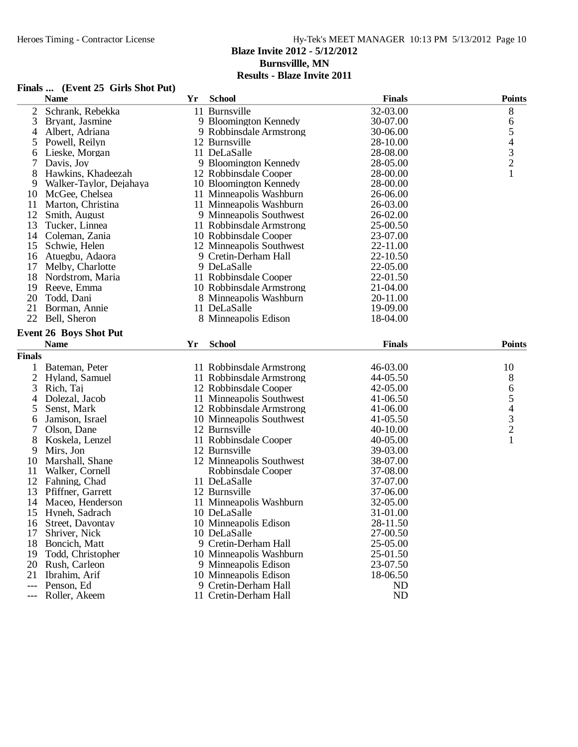#### Hy-Tek's MEET MANAGER 10:13 PM 5/13/2012 Page 10 **Blaze Invite 2012 - 5/12/2012 Burnsvillle, MN**

|                     | Finals  (Event 25 Girls Shot Put) |    |                          |               |                                            |
|---------------------|-----------------------------------|----|--------------------------|---------------|--------------------------------------------|
|                     | <b>Name</b>                       | Yr | <b>School</b>            | <b>Finals</b> | <b>Points</b>                              |
| $\overline{2}$      | Schrank, Rebekka                  |    | 11 Burnsville            | 32-03.00      | 8                                          |
| 3                   | Bryant, Jasmine                   |    | 9 Bloomington Kennedy    | 30-07.00      | 6                                          |
| 4                   | Albert, Adriana                   |    | 9 Robbinsdale Armstrong  | 30-06.00      | $\mathfrak s$                              |
| 5                   | Powell, Reilyn                    |    | 12 Burnsville            | 28-10.00      |                                            |
| 6                   | Lieske, Morgan                    |    | 11 DeLaSalle             | 28-08.00      | $\begin{array}{c} 4 \\ 3 \\ 2 \end{array}$ |
|                     | Davis, Joy                        |    | 9 Bloomington Kennedy    | 28-05.00      |                                            |
| 8                   | Hawkins, Khadeezah                |    | 12 Robbinsdale Cooper    | 28-00.00      | $\mathbf{1}$                               |
| 9                   | Walker-Taylor, Dejahaya           |    | 10 Bloomington Kennedy   | 28-00.00      |                                            |
| 10                  | McGee, Chelsea                    |    | 11 Minneapolis Washburn  | 26-06.00      |                                            |
| 11                  | Marton, Christina                 |    | 11 Minneapolis Washburn  | 26-03.00      |                                            |
| 12                  | Smith, August                     |    | 9 Minneapolis Southwest  | 26-02.00      |                                            |
| 13                  | Tucker, Linnea                    |    | 11 Robbinsdale Armstrong | 25-00.50      |                                            |
| 14                  | Coleman, Zania                    |    | 10 Robbinsdale Cooper    | 23-07.00      |                                            |
| 15                  | Schwie, Helen                     |    | 12 Minneapolis Southwest | 22-11.00      |                                            |
| 16                  | Atuegbu, Adaora                   |    | 9 Cretin-Derham Hall     | 22-10.50      |                                            |
| 17                  | Melby, Charlotte                  |    | 9 DeLaSalle              | 22-05.00      |                                            |
| 18                  | Nordstrom, Maria                  |    | 11 Robbinsdale Cooper    | 22-01.50      |                                            |
| 19                  | Reeve, Emma                       |    | 10 Robbinsdale Armstrong | 21-04.00      |                                            |
| 20                  | Todd, Dani                        |    | 8 Minneapolis Washburn   | 20-11.00      |                                            |
| 21                  | Borman, Annie                     |    | 11 DeLaSalle             | 19-09.00      |                                            |
| 22                  | Bell, Sheron                      |    | 8 Minneapolis Edison     | 18-04.00      |                                            |
|                     | <b>Event 26 Boys Shot Put</b>     |    |                          |               |                                            |
|                     | <b>Name</b>                       | Yr | <b>School</b>            | <b>Finals</b> | <b>Points</b>                              |
| <b>Finals</b>       |                                   |    |                          |               |                                            |
|                     |                                   |    |                          |               | 10                                         |
| 1                   | Bateman, Peter                    |    | 11 Robbinsdale Armstrong | 46-03.00      |                                            |
| $\mathbf{2}$        | Hyland, Samuel                    |    | 11 Robbinsdale Armstrong | 44-05.50      | 8                                          |
| 3                   | Rich, Taj                         |    | 12 Robbinsdale Cooper    | 42-05.00      | 6                                          |
| 4                   | Dolezal, Jacob                    |    | 11 Minneapolis Southwest | 41-06.50      | $\mathfrak s$                              |
| 5                   | Senst, Mark                       |    | 12 Robbinsdale Armstrong | 41-06.00      | $\begin{array}{c} 4 \\ 3 \\ 2 \end{array}$ |
| 6                   | Jamison, Israel                   |    | 10 Minneapolis Southwest | 41-05.50      |                                            |
| 7                   | Olson, Dane                       |    | 12 Burnsville            | 40-10.00      |                                            |
| 8                   | Koskela, Lenzel                   |    | 11 Robbinsdale Cooper    | 40-05.00      | $\mathbf{1}$                               |
| 9                   | Mirs, Jon                         |    | 12 Burnsville            | 39-03.00      |                                            |
| 10                  | Marshall, Shane                   |    | 12 Minneapolis Southwest | 38-07.00      |                                            |
| 11                  | Walker, Cornell                   |    | Robbinsdale Cooper       | 37-08.00      |                                            |
| 12                  | Fahning, Chad                     |    | 11 DeLaSalle             | 37-07.00      |                                            |
| 13                  | Pfiffner, Garrett                 |    | 12 Burnsville            | 37-06.00      |                                            |
| 14                  | Maceo, Henderson                  |    | 11 Minneapolis Washburn  | 32-05.00      |                                            |
| 15                  | Hyneh, Sadrach                    |    | 10 DeLaSalle             | 31-01.00      |                                            |
| 16                  | Street, Davontay                  |    | 10 Minneapolis Edison    | 28-11.50      |                                            |
| 17                  | Shriver, Nick                     |    | 10 DeLaSalle             | 27-00.50      |                                            |
| 18                  | Boncich, Matt                     |    | 9 Cretin-Derham Hall     | 25-05.00      |                                            |
| 19                  | Todd, Christopher                 |    | 10 Minneapolis Washburn  | 25-01.50      |                                            |
| 20                  | Rush, Carleon                     |    | 9 Minneapolis Edison     | 23-07.50      |                                            |
| 21                  | Ibrahim, Arif                     |    | 10 Minneapolis Edison    | 18-06.50      |                                            |
| $---$               | Penson, Ed                        |    | 9 Cretin-Derham Hall     | <b>ND</b>     |                                            |
| $\qquad \qquad - -$ | Roller, Akeem                     |    | 11 Cretin-Derham Hall    | <b>ND</b>     |                                            |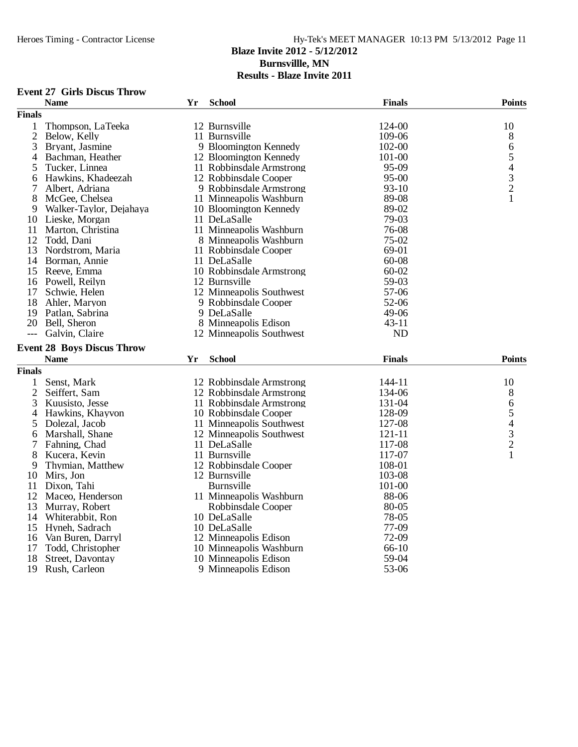#### Heroes Timing - Contractor License Hy-Tek's MEET MANAGER 10:13 PM 5/13/2012 Page 11 **Blaze Invite 2012 - 5/12/2012 Burnsvillle, MN**

| <b>Event 27 Girls Discus Throw</b> |  |  |  |
|------------------------------------|--|--|--|
|------------------------------------|--|--|--|

|                | <b>Name</b>                       | Yr | <b>School</b>            | <b>Finals</b> | <b>Points</b>                              |
|----------------|-----------------------------------|----|--------------------------|---------------|--------------------------------------------|
| <b>Finals</b>  |                                   |    |                          |               |                                            |
| 1              | Thompson, LaTeeka                 |    | 12 Burnsville            | 124-00        | 10                                         |
| $\mathbf{2}$   | Below, Kelly                      |    | 11 Burnsville            | 109-06        | 8                                          |
| 3              | Bryant, Jasmine                   |    | 9 Bloomington Kennedy    | 102-00        | 6                                          |
| 4              | Bachman, Heather                  |    | 12 Bloomington Kennedy   | 101-00        | 5                                          |
| 5              | Tucker, Linnea                    |    | 11 Robbinsdale Armstrong | 95-09         | $\overline{\mathcal{L}}$                   |
| 6              | Hawkins, Khadeezah                |    | 12 Robbinsdale Cooper    | 95-00         |                                            |
| 7              | Albert, Adriana                   |    | 9 Robbinsdale Armstrong  | $93-10$       | $\frac{3}{2}$                              |
| 8              | McGee, Chelsea                    |    | 11 Minneapolis Washburn  | 89-08         | 1                                          |
| 9              | Walker-Taylor, Dejahaya           |    | 10 Bloomington Kennedy   | 89-02         |                                            |
| 10             | Lieske, Morgan                    |    | 11 DeLaSalle             | 79-03         |                                            |
| 11             | Marton, Christina                 |    | 11 Minneapolis Washburn  | 76-08         |                                            |
| 12             | Todd. Dani                        |    | 8 Minneapolis Washburn   | 75-02         |                                            |
| 13             | Nordstrom, Maria                  |    | 11 Robbinsdale Cooper    | 69-01         |                                            |
| 14             | Borman, Annie                     |    | 11 DeLaSalle             | 60-08         |                                            |
| 15             | Reeve, Emma                       |    | 10 Robbinsdale Armstrong | $60 - 02$     |                                            |
|                | 16 Powell, Reilyn                 |    | 12 Burnsville            | 59-03         |                                            |
| 17             | Schwie, Helen                     |    | 12 Minneapolis Southwest | 57-06         |                                            |
| 18             | Ahler, Maryon                     |    | 9 Robbinsdale Cooper     | 52-06         |                                            |
| 19             | Patlan, Sabrina                   |    | 9 DeLaSalle              | 49-06         |                                            |
| 20             | Bell, Sheron                      |    | 8 Minneapolis Edison     | $43 - 11$     |                                            |
| $---$          | Galvin, Claire                    |    | 12 Minneapolis Southwest | <b>ND</b>     |                                            |
|                |                                   |    |                          |               |                                            |
|                | <b>Event 28 Boys Discus Throw</b> |    |                          |               |                                            |
|                | <b>Name</b>                       | Yr | <b>School</b>            | <b>Finals</b> | <b>Points</b>                              |
| <b>Finals</b>  |                                   |    |                          |               |                                            |
| $\mathbf{1}$   | Senst, Mark                       |    | 12 Robbinsdale Armstrong | 144-11        | 10                                         |
| $\mathfrak{2}$ | Seiffert, Sam                     |    | 12 Robbinsdale Armstrong | 134-06        | 8                                          |
| 3              | Kuusisto, Jesse                   |    | 11 Robbinsdale Armstrong | 131-04        | $\sqrt{6}$                                 |
| 4              | Hawkins, Khayvon                  |    | 10 Robbinsdale Cooper    | 128-09        | 5                                          |
| 5              | Dolezal, Jacob                    |    | 11 Minneapolis Southwest | 127-08        |                                            |
| 6              | Marshall, Shane                   |    | 12 Minneapolis Southwest | 121-11        | $\begin{array}{c} 4 \\ 3 \\ 2 \end{array}$ |
| 7              | Fahning, Chad                     |    | 11 DeLaSalle             | 117-08        |                                            |
| 8              | Kucera, Kevin                     |    | 11 Burnsville            | 117-07        | $\mathbf{1}$                               |
| 9              | Thymian, Matthew                  |    | 12 Robbinsdale Cooper    | 108-01        |                                            |
| 10             | Mirs, Jon                         |    | 12 Burnsville            | 103-08        |                                            |
| 11             | Dixon, Tahi                       |    | Burnsville               | 101-00        |                                            |
|                | 12 Maceo, Henderson               |    | 11 Minneapolis Washburn  | 88-06         |                                            |
| 13             | Murray, Robert                    |    | Robbinsdale Cooper       | 80-05         |                                            |
| 14             | Whiterabbit, Ron                  |    | 10 DeLaSalle             | 78-05         |                                            |
| 15             | Hyneh, Sadrach                    |    | 10 DeLaSalle             | 77-09         |                                            |
| 16             | Van Buren, Darryl                 |    | 12 Minneapolis Edison    | 72-09         |                                            |
| 17             | Todd, Christopher                 |    | 10 Minneapolis Washburn  | 66-10         |                                            |
| 18             | Street, Davontay                  |    | 10 Minneapolis Edison    | 59-04         |                                            |
| 19             | Rush, Carleon                     |    | 9 Minneapolis Edison     | 53-06         |                                            |
|                |                                   |    |                          |               |                                            |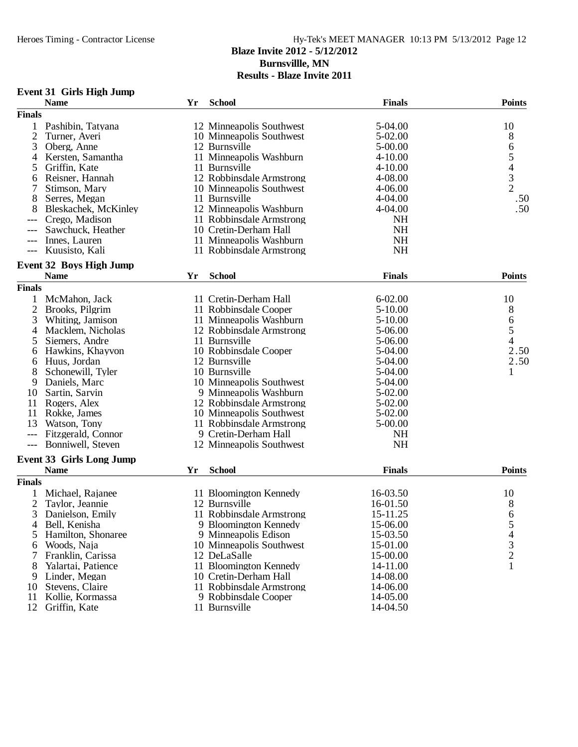**Burnsvillle, MN**

|                | <b>Name</b>                     | Yr | <b>School</b>            | <b>Finals</b> | <b>Points</b>           |
|----------------|---------------------------------|----|--------------------------|---------------|-------------------------|
| <b>Finals</b>  |                                 |    |                          |               |                         |
| 1              | Pashibin, Tatyana               |    | 12 Minneapolis Southwest | 5-04.00       | 10                      |
| $\overline{c}$ | Turner, Averi                   |    | 10 Minneapolis Southwest | 5-02.00       | 8                       |
| 3              | Oberg, Anne                     |    | 12 Burnsville            | $5 - 00.00$   | 6                       |
| 4              | Kersten, Samantha               |    | 11 Minneapolis Washburn  | $4 - 10.00$   |                         |
| 5              | Griffin, Kate                   |    | 11 Burnsville            | $4 - 10.00$   |                         |
| 6              | Reisner, Hannah                 |    | 12 Robbinsdale Armstrong | 4-08.00       | $\frac{5}{4}$           |
| 7              | Stimson, Mary                   |    | 10 Minneapolis Southwest | $4 - 06.00$   | $\overline{2}$          |
| 8              | Serres, Megan                   |    | 11 Burnsville            | $4 - 04.00$   | .50                     |
| 8              | Bleskachek, McKinley            |    | 12 Minneapolis Washburn  | $4 - 04.00$   | .50                     |
|                | Crego, Madison                  |    | 11 Robbinsdale Armstrong | NH            |                         |
|                | Sawchuck, Heather               |    | 10 Cretin-Derham Hall    | <b>NH</b>     |                         |
|                | Innes, Lauren                   |    | 11 Minneapolis Washburn  | <b>NH</b>     |                         |
|                | Kuusisto, Kali                  |    | 11 Robbinsdale Armstrong | NH            |                         |
|                | <b>Event 32 Boys High Jump</b>  |    |                          |               |                         |
|                | <b>Name</b>                     | Yr | <b>School</b>            | <b>Finals</b> | <b>Points</b>           |
| <b>Finals</b>  |                                 |    |                          |               |                         |
|                | McMahon, Jack                   |    | 11 Cretin-Derham Hall    | $6 - 02.00$   | 10                      |
| 2              | Brooks, Pilgrim                 |    | 11 Robbinsdale Cooper    | 5-10.00       | 8                       |
| 3              | Whiting, Jamison                |    | 11 Minneapolis Washburn  | 5-10.00       | $\boldsymbol{6}$        |
| 4              | Macklem, Nicholas               |    | 12 Robbinsdale Armstrong | 5-06.00       | 5                       |
| 5              | Siemers, Andre                  |    | 11 Burnsville            | 5-06.00       | $\overline{\mathbf{4}}$ |
| 6              | Hawkins, Khayvon                |    | 10 Robbinsdale Cooper    | 5-04.00       | 2.50                    |
|                | Huus, Jordan                    |    | 12 Burnsville            | 5-04.00       | 2.50                    |
| 6<br>8         | Schonewill, Tyler               |    | 10 Burnsville            | 5-04.00       | 1                       |
| 9              |                                 |    | 10 Minneapolis Southwest |               |                         |
|                | Daniels, Marc                   |    |                          | 5-04.00       |                         |
| 10             | Sartin, Sarvin                  |    | 9 Minneapolis Washburn   | 5-02.00       |                         |
| 11             | Rogers, Alex                    |    | 12 Robbinsdale Armstrong | 5-02.00       |                         |
| 11             | Rokke, James                    |    | 10 Minneapolis Southwest | 5-02.00       |                         |
| 13             | Watson, Tony                    |    | 11 Robbinsdale Armstrong | $5 - 00.00$   |                         |
| $---$          | Fitzgerald, Connor              |    | 9 Cretin-Derham Hall     | <b>NH</b>     |                         |
|                | Bonniwell, Steven               |    | 12 Minneapolis Southwest | NH            |                         |
|                | <b>Event 33 Girls Long Jump</b> |    |                          |               |                         |
|                | <b>Name</b>                     | Yr | <b>School</b>            | <b>Finals</b> | <b>Points</b>           |
| <b>Finals</b>  |                                 |    |                          |               |                         |
|                | Michael, Rajanee                |    | 11 Bloomington Kennedy   | 16-03.50      | 10                      |
| 2              | Taylor, Jeannie                 |    | 12 Burnsville            | 16-01.50      | 8                       |
| 3              | Danielson, Emily                |    | 11 Robbinsdale Armstrong | 15-11.25      | 6                       |
| 4              | Bell, Kenisha                   |    | 9 Bloomington Kennedy    | 15-06.00      | 5                       |
| 5              | Hamilton, Shonaree              |    | 9 Minneapolis Edison     | 15-03.50      |                         |
| 6              | Woods, Naja                     |    | 10 Minneapolis Southwest | 15-01.00      | $\frac{4}{3}$           |
| 7              | Franklin, Carissa               |    | 12 DeLaSalle             | 15-00.00      |                         |
| 8              | Yalartai, Patience              |    | 11 Bloomington Kennedy   | 14-11.00      |                         |
| 9              | Linder, Megan                   |    | 10 Cretin-Derham Hall    | 14-08.00      |                         |
| 10             | Stevens, Claire                 |    | 11 Robbinsdale Armstrong | 14-06.00      |                         |
| 11             | Kollie, Kormassa                |    | 9 Robbinsdale Cooper     | 14-05.00      |                         |
| 12             | Griffin, Kate                   |    | 11 Burnsville            | 14-04.50      |                         |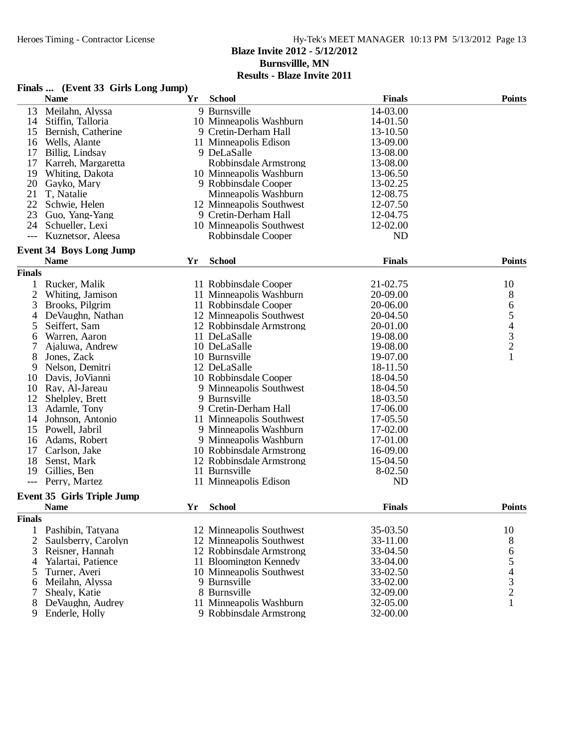#### Heroes Timing - Contractor License Hy-Tek's MEET MANAGER 10:13 PM 5/13/2012 Page 13 **Blaze Invite 2012 - 5/12/2012 Burnsvillle, MN**

|                | Finals  (Event 33 Girls Long Jump) |    |                          |               |               |
|----------------|------------------------------------|----|--------------------------|---------------|---------------|
|                | <b>Name</b>                        | Yr | <b>School</b>            | <b>Finals</b> | <b>Points</b> |
| 13             | Meilahn, Alyssa                    |    | 9 Burnsville             | 14-03.00      |               |
| 14             | Stiffin, Talloria                  |    | 10 Minneapolis Washburn  | 14-01.50      |               |
| 15             | Bernish, Catherine                 |    | 9 Cretin-Derham Hall     | 13-10.50      |               |
| 16             | Wells, Alante                      |    | 11 Minneapolis Edison    | 13-09.00      |               |
| 17             | Billig, Lindsay                    |    | 9 DeLaSalle              | 13-08.00      |               |
| 17             | Karreh, Margaretta                 |    | Robbinsdale Armstrong    | 13-08.00      |               |
| 19             | Whiting, Dakota                    |    | 10 Minneapolis Washburn  | 13-06.50      |               |
|                | 20 Gayko, Mary                     |    | 9 Robbinsdale Cooper     | 13-02.25      |               |
| 21             | T, Natalie                         |    | Minneapolis Washburn     | 12-08.75      |               |
| 22             | Schwie, Helen                      |    | 12 Minneapolis Southwest | 12-07.50      |               |
| 23             | Guo, Yang-Yang                     |    | 9 Cretin-Derham Hall     | 12-04.75      |               |
| 24             | Schueller, Lexi                    |    | 10 Minneapolis Southwest | 12-02.00      |               |
|                |                                    |    |                          |               |               |
| ---            | Kuznetsor, Aleesa                  |    | Robbinsdale Cooper       | <b>ND</b>     |               |
|                | <b>Event 34 Boys Long Jump</b>     |    |                          |               |               |
|                | <b>Name</b>                        | Yr | <b>School</b>            | <b>Finals</b> | <b>Points</b> |
| <b>Finals</b>  |                                    |    |                          |               |               |
| 1              | Rucker, Malik                      |    | 11 Robbinsdale Cooper    | 21-02.75      | 10            |
| $\mathbf{2}$   | Whiting, Jamison                   |    | 11 Minneapolis Washburn  | 20-09.00      | 8             |
| 3              | Brooks, Pilgrim                    |    | 11 Robbinsdale Cooper    | 20-06.00      |               |
| 4              | DeVaughn, Nathan                   |    | 12 Minneapolis Southwest | 20-04.50      |               |
| 5              | Seiffert, Sam                      |    | 12 Robbinsdale Armstrong | 20-01.00      |               |
| 6              | Warren, Aaron                      |    | 11 DeLaSalle             | 19-08.00      |               |
| 7              | Ajaluwa, Andrew                    |    | 10 DeLaSalle             | 19-08.00      | 65432         |
| 8              | Jones, Zack                        |    | 10 Burnsville            | 19-07.00      | $\mathbf{1}$  |
| 9              | Nelson, Demitri                    |    | 12 DeLaSalle             | 18-11.50      |               |
| 10             | Davis, JoVianni                    |    | 10 Robbinsdale Cooper    | 18-04.50      |               |
| 10             | Ray, Al-Jareau                     |    | 9 Minneapolis Southwest  | 18-04.50      |               |
| 12             | Shelpley, Brett                    |    | 9 Burnsville             | 18-03.50      |               |
| 13             | Adamle, Tony                       |    | 9 Cretin-Derham Hall     | 17-06.00      |               |
| 14             | Johnson, Antonio                   |    | 11 Minneapolis Southwest | 17-05.50      |               |
| 15             | Powell, Jabril                     |    | 9 Minneapolis Washburn   | 17-02.00      |               |
| 16             | Adams, Robert                      |    | 9 Minneapolis Washburn   | 17-01.00      |               |
| 17             | Carlson, Jake                      |    | 10 Robbinsdale Armstrong | 16-09.00      |               |
| 18             | Senst, Mark                        |    | 12 Robbinsdale Armstrong | 15-04.50      |               |
| 19             | Gillies, Ben                       |    | 11 Burnsville            | 8-02.50       |               |
| $---$          | Perry, Martez                      |    | 11 Minneapolis Edison    | <b>ND</b>     |               |
|                |                                    |    |                          |               |               |
|                | <b>Event 35 Girls Triple Jump</b>  |    |                          |               |               |
|                | <b>Name</b>                        | Yr | <b>School</b>            | <b>Finals</b> | <b>Points</b> |
| <b>Finals</b>  |                                    |    |                          |               |               |
|                | 1 Pashibin, Tatyana                |    | 12 Minneapolis Southwest | 35-03.50      | 10            |
| $\overline{2}$ | Saulsberry, Carolyn                |    | 12 Minneapolis Southwest | 33-11.00      | 8             |
| 3              | Reisner, Hannah                    |    | 12 Robbinsdale Armstrong | 33-04.50      |               |
| 4              | Yalartai, Patience                 |    | 11 Bloomington Kennedy   | 33-04.00      |               |
| 5              | Turner, Averi                      |    | 10 Minneapolis Southwest | 33-02.50      |               |
| 6              | Meilahn, Alyssa                    |    | 9 Burnsville             | 33-02.00      |               |
|                | Shealy, Katie                      |    | 8 Burnsville             | 32-09.00      |               |
| 8              | DeVaughn, Audrey                   |    | 11 Minneapolis Washburn  | 32-05.00      | 654321        |
| 9              | Enderle, Holly                     |    | 9 Robbinsdale Armstrong  | 32-00.00      |               |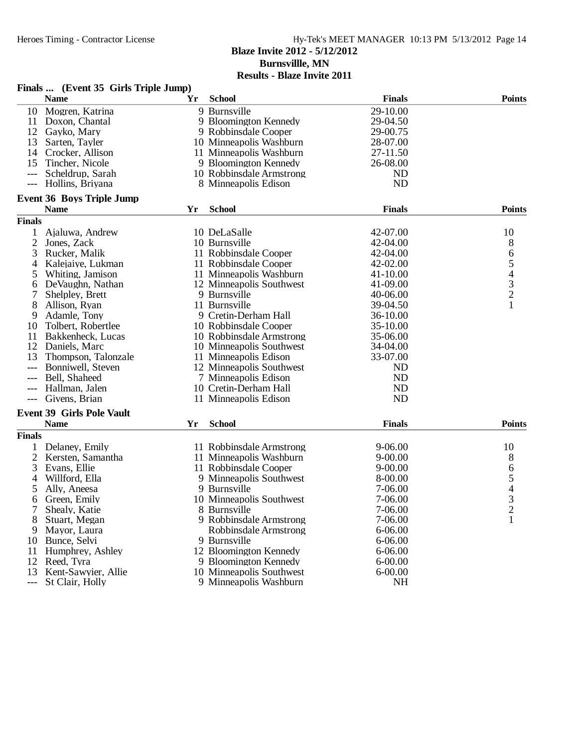## Heroes Timing - Contractor License Hy-Tek's MEET MANAGER 10:13 PM 5/13/2012 Page 14 **Blaze Invite 2012 - 5/12/2012 Burnsvillle, MN**

|                     | Finals  (Event 35 Girls Triple Jump) |    |                          |                      |                |
|---------------------|--------------------------------------|----|--------------------------|----------------------|----------------|
|                     | <b>Name</b>                          | Yr | <b>School</b>            | <b>Finals</b>        | <b>Points</b>  |
| 10                  | Mogren, Katrina                      |    | 9 Burnsville             | 29-10.00             |                |
| 11                  | Doxon, Chantal                       |    | 9 Bloomington Kennedy    | 29-04.50             |                |
| 12                  | Gayko, Mary                          |    | 9 Robbinsdale Cooper     | 29-00.75             |                |
| 13                  | Sarten, Tayler                       |    | 10 Minneapolis Washburn  | 28-07.00             |                |
| 14                  | Crocker, Allison                     |    | 11 Minneapolis Washburn  | 27-11.50             |                |
| 15                  | Tincher, Nicole                      |    | 9 Bloomington Kennedy    | 26-08.00             |                |
|                     | Scheldrup, Sarah                     |    | 10 Robbinsdale Armstrong | ND                   |                |
| $---$               | Hollins, Briyana                     |    | 8 Minneapolis Edison     | <b>ND</b>            |                |
|                     | <b>Event 36 Boys Triple Jump</b>     |    |                          |                      |                |
|                     | <b>Name</b>                          | Yr | <b>School</b>            | <b>Finals</b>        | <b>Points</b>  |
| <b>Finals</b>       |                                      |    |                          |                      |                |
| 1                   | Ajaluwa, Andrew                      |    | 10 DeLaSalle             | 42-07.00             | 10             |
| 2                   | Jones, Zack                          |    | 10 Burnsville            | 42-04.00             | 8              |
| 3                   | Rucker, Malik                        |    | 11 Robbinsdale Cooper    | 42-04.00             |                |
| 4                   | Kalejaiye, Lukman                    |    | 11 Robbinsdale Cooper    | 42-02.00             | 654321         |
| 5                   | Whiting, Jamison                     |    | 11 Minneapolis Washburn  | 41-10.00             |                |
| 6                   | DeVaughn, Nathan                     |    | 12 Minneapolis Southwest | 41-09.00             |                |
| 7                   | Shelpley, Brett                      |    | 9 Burnsville             | 40-06.00             |                |
| 8                   | Allison, Ryan                        |    | 11 Burnsville            | 39-04.50             |                |
| 9                   | Adamle, Tony                         |    | 9 Cretin-Derham Hall     | 36-10.00             |                |
| 10                  | Tolbert, Robertlee                   |    | 10 Robbinsdale Cooper    | 35-10.00             |                |
|                     |                                      |    |                          |                      |                |
| 11<br>12            | Bakkenheck, Lucas                    |    | 10 Robbinsdale Armstrong | 35-06.00<br>34-04.00 |                |
|                     | Daniels, Marc                        |    | 10 Minneapolis Southwest | 33-07.00             |                |
| 13                  | Thompson, Talonzale                  |    | 11 Minneapolis Edison    |                      |                |
|                     | Bonniwell, Steven                    |    | 12 Minneapolis Southwest | ND                   |                |
| $---$               | Bell, Shaheed                        |    | 7 Minneapolis Edison     | <b>ND</b>            |                |
|                     | Hallman, Jalen                       |    | 10 Cretin-Derham Hall    | <b>ND</b>            |                |
|                     | Givens, Brian                        |    | 11 Minneapolis Edison    | <b>ND</b>            |                |
|                     | <b>Event 39 Girls Pole Vault</b>     |    |                          |                      |                |
|                     | <b>Name</b>                          | Yr | <b>School</b>            | <b>Finals</b>        | <b>Points</b>  |
| <b>Finals</b>       |                                      |    |                          |                      |                |
| 1                   | Delaney, Emily                       |    | 11 Robbinsdale Armstrong | $9 - 06.00$          | 10             |
| 2                   | Kersten, Samantha                    |    | 11 Minneapolis Washburn  | $9 - 00.00$          | 8              |
| 3                   | Evans, Ellie                         |    | 11 Robbinsdale Cooper    | $9 - 00.00$          |                |
| 4                   | Willford, Ella                       |    | 9 Minneapolis Southwest  | 8-00.00              | $654$<br>3     |
| 5                   | Ally, Aneesa                         |    | 9 Burnsville             | 7-06.00              |                |
| 6                   | Green, Emily                         |    | 10 Minneapolis Southwest | 7-06.00              |                |
| 7                   | Shealy, Katie                        |    | 8 Burnsville             | 7-06.00              | $\overline{2}$ |
| 8                   | Stuart, Megan                        |    | 9 Robbinsdale Armstrong  | 7-06.00              | 1              |
| 9                   | Mayor, Laura                         |    | Robbinsdale Armstrong    | $6 - 06.00$          |                |
| 10                  | Bunce, Selvi                         |    | 9 Burnsville             | $6 - 06.00$          |                |
| 11                  | Humphrey, Ashley                     |    | 12 Bloomington Kennedy   | $6 - 06.00$          |                |
| 12                  | Reed, Tyra                           |    | 9 Bloomington Kennedy    | $6 - 00.00$          |                |
| 13                  | Kent-Sawyier, Allie                  |    | 10 Minneapolis Southwest | $6 - 00.00$          |                |
| $\qquad \qquad - -$ | St Clair, Holly                      |    | 9 Minneapolis Washburn   | <b>NH</b>            |                |